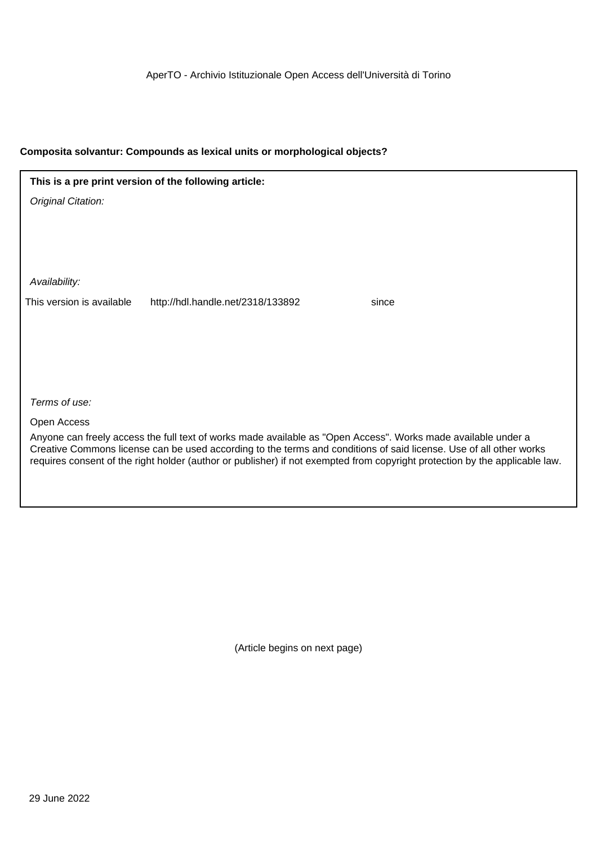| This is a pre print version of the following article: |                                   |                                                                                                                                                                                                                                     |  |
|-------------------------------------------------------|-----------------------------------|-------------------------------------------------------------------------------------------------------------------------------------------------------------------------------------------------------------------------------------|--|
| Original Citation:                                    |                                   |                                                                                                                                                                                                                                     |  |
|                                                       |                                   |                                                                                                                                                                                                                                     |  |
|                                                       |                                   |                                                                                                                                                                                                                                     |  |
|                                                       |                                   |                                                                                                                                                                                                                                     |  |
| Availability:                                         |                                   |                                                                                                                                                                                                                                     |  |
| This version is available                             | http://hdl.handle.net/2318/133892 | since                                                                                                                                                                                                                               |  |
|                                                       |                                   |                                                                                                                                                                                                                                     |  |
|                                                       |                                   |                                                                                                                                                                                                                                     |  |
|                                                       |                                   |                                                                                                                                                                                                                                     |  |
|                                                       |                                   |                                                                                                                                                                                                                                     |  |
| Terms of use:                                         |                                   |                                                                                                                                                                                                                                     |  |
| Open Access                                           |                                   |                                                                                                                                                                                                                                     |  |
|                                                       |                                   | Anyone can freely access the full text of works made available as "Open Access". Works made available under a<br>Creative Commons license can be used according to the terms and conditions of said license. Use of all other works |  |

requires consent of the right holder (author or publisher) if not exempted from copyright protection by the applicable law.

(Article begins on next page)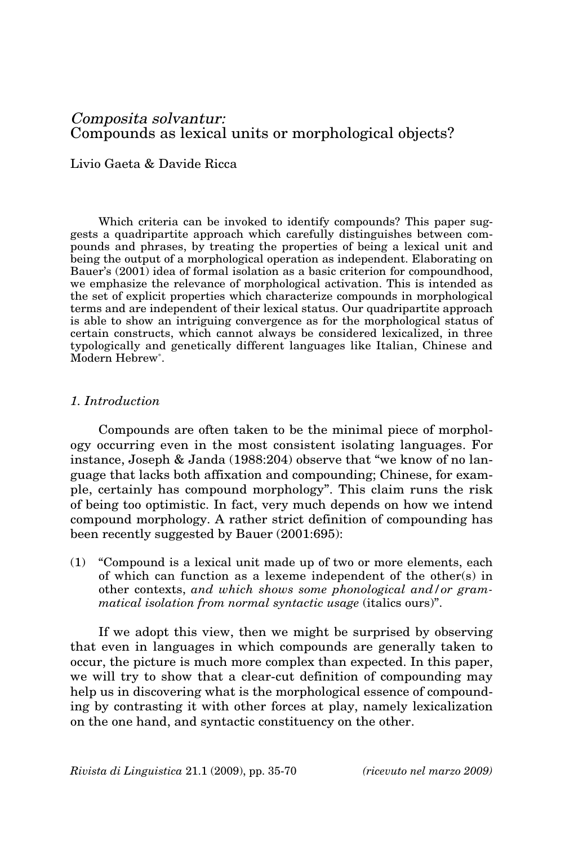Livio Gaeta & Davide Ricca

Which criteria can be invoked to identify compounds? This paper suggests a quadripartite approach which carefully distinguishes between compounds and phrases, by treating the properties of being a lexical unit and being the output of a morphological operation as independent. Elaborating on Bauer's (2001) idea of formal isolation as a basic criterion for compoundhood, we emphasize the relevance of morphological activation. This is intended as the set of explicit properties which characterize compounds in morphological terms and are independent of their lexical status. Our quadripartite approach is able to show an intriguing convergence as for the morphological status of certain constructs, which cannot always be considered lexicalized, in three typologically and genetically different languages like Italian, Chinese and Modern Hebrew\* .

# *1. Introduction*

Compounds are often taken to be the minimal piece of morphology occurring even in the most consistent isolating languages. For instance, Joseph & Janda (1988:204) observe that "we know of no language that lacks both affixation and compounding; Chinese, for example, certainly has compound morphology". This claim runs the risk of being too optimistic. In fact, very much depends on how we intend compound morphology. A rather strict definition of compounding has been recently suggested by Bauer (2001:695):

(1) "Compound is a lexical unit made up of two or more elements, each of which can function as a lexeme independent of the other(s) in other contexts, *and which shows some phonological and/or grammatical isolation from normal syntactic usage* (italics ours)".

If we adopt this view, then we might be surprised by observing that even in languages in which compounds are generally taken to occur, the picture is much more complex than expected. In this paper, we will try to show that a clear-cut definition of compounding may help us in discovering what is the morphological essence of compounding by contrasting it with other forces at play, namely lexicalization on the one hand, and syntactic constituency on the other.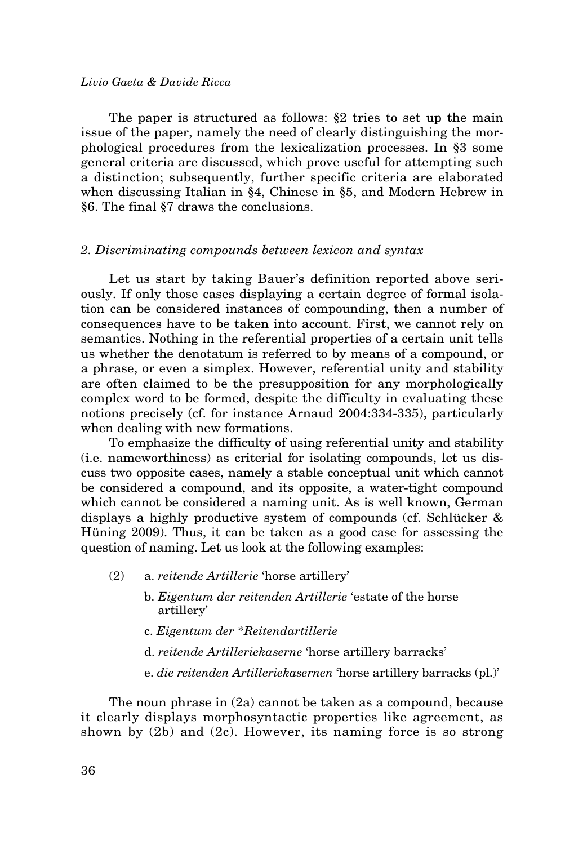The paper is structured as follows: §2 tries to set up the main issue of the paper, namely the need of clearly distinguishing the morphological procedures from the lexicalization processes. In §3 some general criteria are discussed, which prove useful for attempting such a distinction; subsequently, further specific criteria are elaborated when discussing Italian in §4, Chinese in §5, and Modern Hebrew in §6. The final §7 draws the conclusions.

#### *2. Discriminating compounds between lexicon and syntax*

Let us start by taking Bauer's definition reported above seriously. If only those cases displaying a certain degree of formal isolation can be considered instances of compounding, then a number of consequences have to be taken into account. First, we cannot rely on semantics. Nothing in the referential properties of a certain unit tells us whether the denotatum is referred to by means of a compound, or a phrase, or even a simplex. However, referential unity and stability are often claimed to be the presupposition for any morphologically complex word to be formed, despite the difficulty in evaluating these notions precisely (cf. for instance Arnaud 2004:334-335), particularly when dealing with new formations.

To emphasize the difficulty of using referential unity and stability (i.e. nameworthiness) as criterial for isolating compounds, let us discuss two opposite cases, namely a stable conceptual unit which cannot be considered a compound, and its opposite, a water-tight compound which cannot be considered a naming unit. As is well known, German displays a highly productive system of compounds (cf. Schlücker & Hüning 2009). Thus, it can be taken as a good case for assessing the question of naming. Let us look at the following examples:

- (2) a. *reitende Artillerie* 'horse artillery'
	- b. *Eigentum der reitenden Artillerie* 'estate of the horse artillery'
	- c. *Eigentum der* \**Reitendartillerie*
	- d. *reitende Artilleriekaserne* 'horse artillery barracks'
	- e. *die reitenden Artilleriekasernen* 'horse artillery barracks (pl.)'

The noun phrase in (2a) cannot be taken as a compound, because it clearly displays morphosyntactic properties like agreement, as shown by (2b) and (2c). However, its naming force is so strong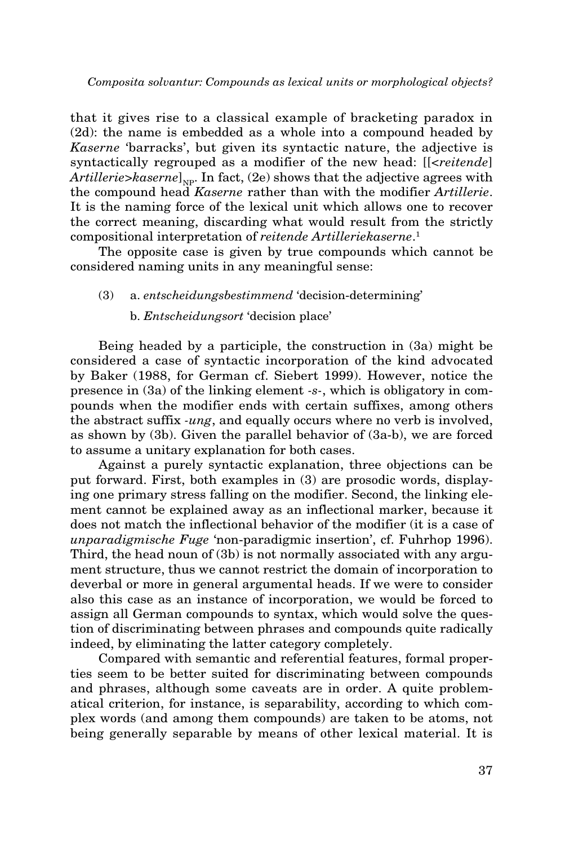that it gives rise to a classical example of bracketing paradox in (2d): the name is embedded as a whole into a compound headed by *Kaserne* 'barracks', but given its syntactic nature, the adjective is syntactically regrouped as a modifier of the new head: [[<*reitende*] Artillerie>*kaserne*]<sub>NP</sub>. In fact, (2e) shows that the adjective agrees with the compound head *Kaserne* rather than with the modifier *Artillerie*. It is the naming force of the lexical unit which allows one to recover the correct meaning, discarding what would result from the strictly compositional interpretation of *reitende Artilleriekaserne*. 1

The opposite case is given by true compounds which cannot be considered naming units in any meaningful sense:

# (3) a. *entscheidungsbestimmend* 'decision-determining' b. *Entscheidungsort* 'decision place'

Being headed by a participle, the construction in (3a) might be considered a case of syntactic incorporation of the kind advocated by Baker (1988, for German cf. Siebert 1999). However, notice the presence in (3a) of the linking element *-s-*, which is obligatory in compounds when the modifier ends with certain suffixes, among others the abstract suffix *-ung*, and equally occurs where no verb is involved, as shown by (3b). Given the parallel behavior of (3a-b), we are forced to assume a unitary explanation for both cases.

Against a purely syntactic explanation, three objections can be put forward. First, both examples in (3) are prosodic words, displaying one primary stress falling on the modifier. Second, the linking element cannot be explained away as an inflectional marker, because it does not match the inflectional behavior of the modifier (it is a case of *unparadigmische Fuge* 'non-paradigmic insertion', cf. Fuhrhop 1996). Third, the head noun of (3b) is not normally associated with any argument structure, thus we cannot restrict the domain of incorporation to deverbal or more in general argumental heads. If we were to consider also this case as an instance of incorporation, we would be forced to assign all German compounds to syntax, which would solve the question of discriminating between phrases and compounds quite radically indeed, by eliminating the latter category completely.

Compared with semantic and referential features, formal properties seem to be better suited for discriminating between compounds and phrases, although some caveats are in order. A quite problematical criterion, for instance, is separability, according to which complex words (and among them compounds) are taken to be atoms, not being generally separable by means of other lexical material. It is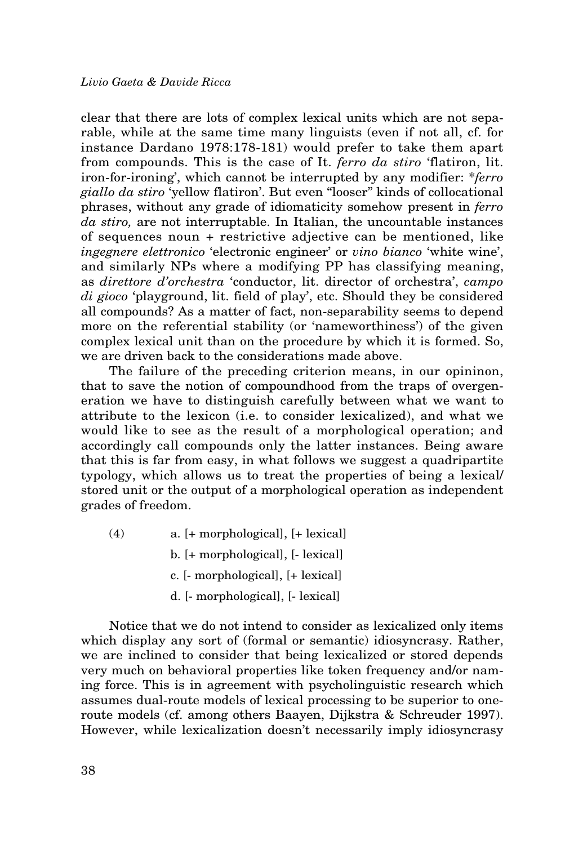clear that there are lots of complex lexical units which are not separable, while at the same time many linguists (even if not all, cf. for instance Dardano 1978:178-181) would prefer to take them apart from compounds. This is the case of It. *ferro da stiro* 'flatiron, lit. iron-for-ironing', which cannot be interrupted by any modifier: \**ferro giallo da stiro* 'yellow flatiron'. But even "looser" kinds of collocational phrases, without any grade of idiomaticity somehow present in *ferro da stiro,* are not interruptable. In Italian, the uncountable instances of sequences noun + restrictive adjective can be mentioned, like *ingegnere elettronico* 'electronic engineer' or *vino bianco* 'white wine', and similarly NPs where a modifying PP has classifying meaning, as *direttore d'orchestra* 'conductor, lit. director of orchestra', *campo di gioco* 'playground, lit. field of play', etc. Should they be considered all compounds? As a matter of fact, non-separability seems to depend more on the referential stability (or 'nameworthiness') of the given complex lexical unit than on the procedure by which it is formed. So, we are driven back to the considerations made above.

The failure of the preceding criterion means, in our opininon, that to save the notion of compoundhood from the traps of overgeneration we have to distinguish carefully between what we want to attribute to the lexicon (i.e. to consider lexicalized), and what we would like to see as the result of a morphological operation; and accordingly call compounds only the latter instances. Being aware that this is far from easy, in what follows we suggest a quadripartite typology, which allows us to treat the properties of being a lexical/ stored unit or the output of a morphological operation as independent grades of freedom.

- (4) a. [+ morphological], [+ lexical] b. [+ morphological], [- lexical] c. [- morphological], [+ lexical]
	- d. [- morphological], [- lexical]

Notice that we do not intend to consider as lexicalized only items which display any sort of (formal or semantic) idiosyncrasy. Rather, we are inclined to consider that being lexicalized or stored depends very much on behavioral properties like token frequency and/or naming force. This is in agreement with psycholinguistic research which assumes dual-route models of lexical processing to be superior to oneroute models (cf. among others Baayen, Dijkstra & Schreuder 1997). However, while lexicalization doesn't necessarily imply idiosyncrasy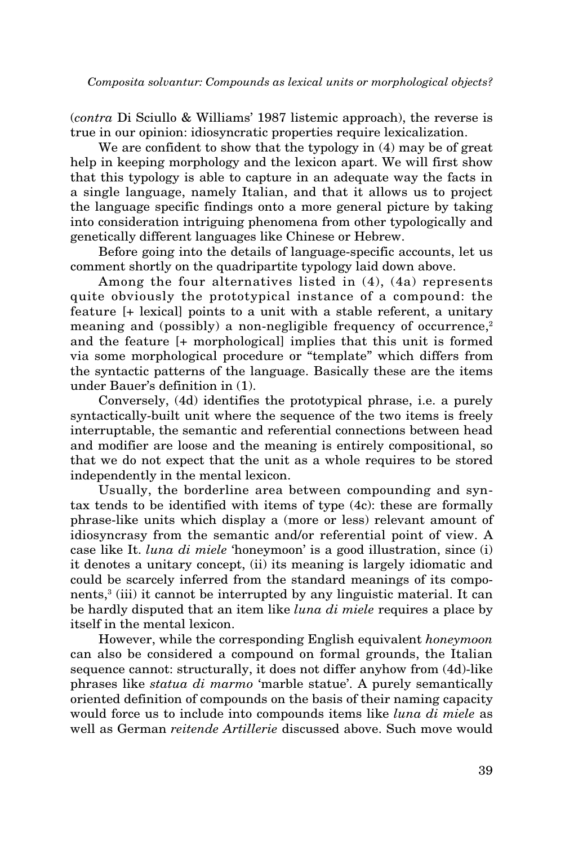(*contra* Di Sciullo & Williams' 1987 listemic approach), the reverse is true in our opinion: idiosyncratic properties require lexicalization.

We are confident to show that the typology in  $(4)$  may be of great help in keeping morphology and the lexicon apart. We will first show that this typology is able to capture in an adequate way the facts in a single language, namely Italian, and that it allows us to project the language specific findings onto a more general picture by taking into consideration intriguing phenomena from other typologically and genetically different languages like Chinese or Hebrew.

Before going into the details of language-specific accounts, let us comment shortly on the quadripartite typology laid down above.

Among the four alternatives listed in (4), (4a) represents quite obviously the prototypical instance of a compound: the feature [+ lexical] points to a unit with a stable referent, a unitary meaning and (possibly) a non-negligible frequency of occurrence, $2$ and the feature [+ morphological] implies that this unit is formed via some morphological procedure or "template" which differs from the syntactic patterns of the language. Basically these are the items under Bauer's definition in (1).

Conversely, (4d) identifies the prototypical phrase, i.e. a purely syntactically-built unit where the sequence of the two items is freely interruptable, the semantic and referential connections between head and modifier are loose and the meaning is entirely compositional, so that we do not expect that the unit as a whole requires to be stored independently in the mental lexicon.

Usually, the borderline area between compounding and syntax tends to be identified with items of type (4c): these are formally phrase-like units which display a (more or less) relevant amount of idiosyncrasy from the semantic and/or referential point of view. A case like It. *luna di miele* 'honeymoon' is a good illustration, since (i) it denotes a unitary concept, (ii) its meaning is largely idiomatic and could be scarcely inferred from the standard meanings of its components,<sup>3</sup> (iii) it cannot be interrupted by any linguistic material. It can be hardly disputed that an item like *luna di miele* requires a place by itself in the mental lexicon.

However, while the corresponding English equivalent *honeymoon*  can also be considered a compound on formal grounds, the Italian sequence cannot: structurally, it does not differ anyhow from (4d)-like phrases like *statua di marmo* 'marble statue'. A purely semantically oriented definition of compounds on the basis of their naming capacity would force us to include into compounds items like *luna di miele* as well as German *reitende Artillerie* discussed above. Such move would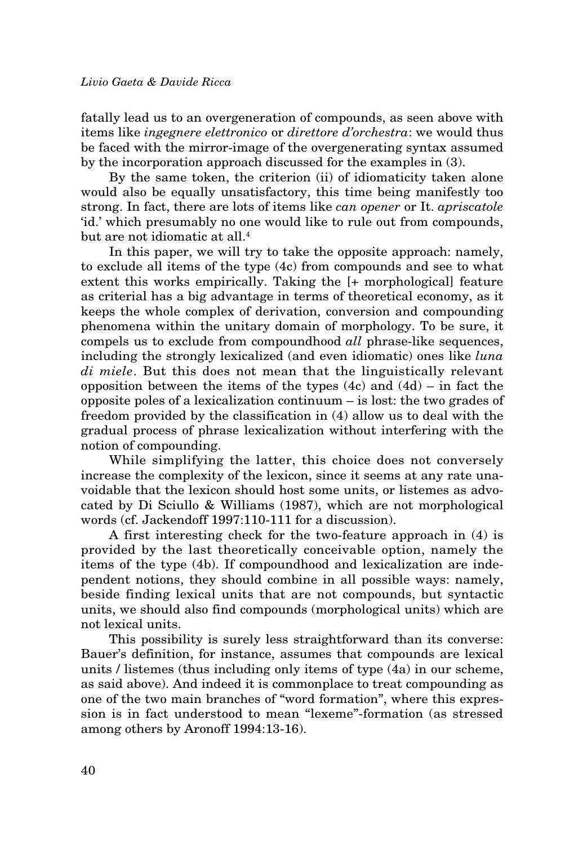fatally lead us to an overgeneration of compounds, as seen above with items like *ingegnere elettronico* or *direttore d'orchestra*: we would thus be faced with the mirror-image of the overgenerating syntax assumed by the incorporation approach discussed for the examples in (3).

By the same token, the criterion (ii) of idiomaticity taken alone would also be equally unsatisfactory, this time being manifestly too strong. In fact, there are lots of items like *can opener* or It. *apriscatole* 'id.' which presumably no one would like to rule out from compounds, but are not idiomatic at all.4

In this paper, we will try to take the opposite approach: namely, to exclude all items of the type (4c) from compounds and see to what extent this works empirically. Taking the [+ morphological] feature as criterial has a big advantage in terms of theoretical economy, as it keeps the whole complex of derivation, conversion and compounding phenomena within the unitary domain of morphology. To be sure, it compels us to exclude from compoundhood *all* phrase-like sequences, including the strongly lexicalized (and even idiomatic) ones like *luna di miele*. But this does not mean that the linguistically relevant opposition between the items of the types  $(4c)$  and  $(4d)$  – in fact the opposite poles of a lexicalization continuum – is lost: the two grades of freedom provided by the classification in (4) allow us to deal with the gradual process of phrase lexicalization without interfering with the notion of compounding.

While simplifying the latter, this choice does not conversely increase the complexity of the lexicon, since it seems at any rate unavoidable that the lexicon should host some units, or listemes as advocated by Di Sciullo & Williams (1987), which are not morphological words (cf. Jackendoff 1997:110-111 for a discussion).

A first interesting check for the two-feature approach in (4) is provided by the last theoretically conceivable option, namely the items of the type (4b). If compoundhood and lexicalization are independent notions, they should combine in all possible ways: namely, beside finding lexical units that are not compounds, but syntactic units, we should also find compounds (morphological units) which are not lexical units.

This possibility is surely less straightforward than its converse: Bauer's definition, for instance, assumes that compounds are lexical units / listemes (thus including only items of type (4a) in our scheme, as said above). And indeed it is commonplace to treat compounding as one of the two main branches of "word formation", where this expression is in fact understood to mean "lexeme"-formation (as stressed among others by Aronoff 1994:13-16).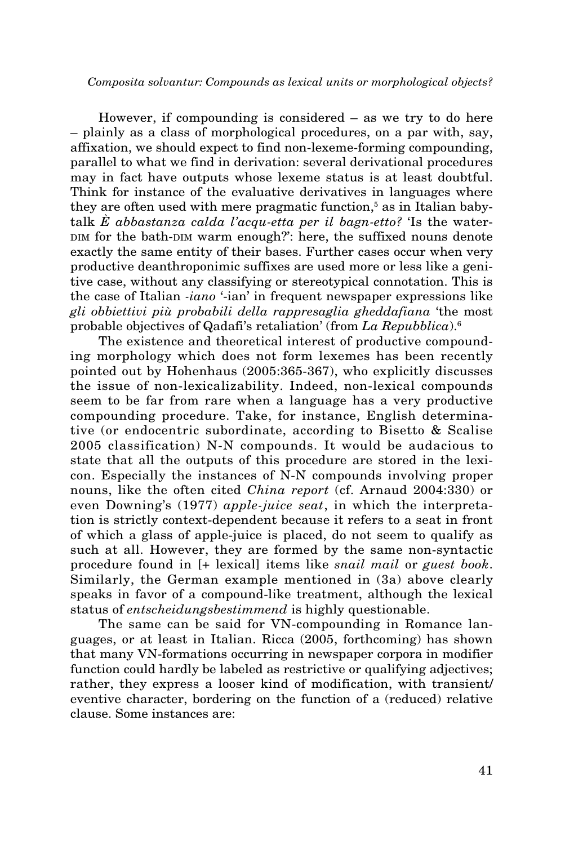However, if compounding is considered – as we try to do here – plainly as a class of morphological procedures, on a par with, say, affixation, we should expect to find non-lexeme-forming compounding, parallel to what we find in derivation: several derivational procedures may in fact have outputs whose lexeme status is at least doubtful. Think for instance of the evaluative derivatives in languages where they are often used with mere pragmatic function,<sup>5</sup> as in Italian babytalk *È abbastanza calda l'acqu-etta per il bagn-etto?* 'Is the water-DIM for the bath-DIM warm enough?': here, the suffixed nouns denote exactly the same entity of their bases. Further cases occur when very productive deanthroponimic suffixes are used more or less like a genitive case, without any classifying or stereotypical connotation. This is the case of Italian *-iano* '-ian' in frequent newspaper expressions like *gli obbiettivi più probabili della rappresaglia gheddafiana* 'the most probable objectives of Qadafi's retaliation' (from *La Repubblica*).6

The existence and theoretical interest of productive compounding morphology which does not form lexemes has been recently pointed out by Hohenhaus (2005:365-367), who explicitly discusses the issue of non-lexicalizability. Indeed, non-lexical compounds seem to be far from rare when a language has a very productive compounding procedure. Take, for instance, English determinative (or endocentric subordinate, according to Bisetto & Scalise 2005 classification) N-N compounds. It would be audacious to state that all the outputs of this procedure are stored in the lexicon. Especially the instances of N-N compounds involving proper nouns, like the often cited *China report* (cf. Arnaud 2004:330) or even Downing's (1977) *apple-juice seat*, in which the interpretation is strictly context-dependent because it refers to a seat in front of which a glass of apple-juice is placed, do not seem to qualify as such at all. However, they are formed by the same non-syntactic procedure found in [+ lexical] items like *snail mail* or *guest book*. Similarly, the German example mentioned in (3a) above clearly speaks in favor of a compound-like treatment, although the lexical status of *entscheidungsbestimmend* is highly questionable.

The same can be said for VN-compounding in Romance languages, or at least in Italian. Ricca (2005, forthcoming) has shown that many VN-formations occurring in newspaper corpora in modifier function could hardly be labeled as restrictive or qualifying adjectives; rather, they express a looser kind of modification, with transient/ eventive character, bordering on the function of a (reduced) relative clause. Some instances are: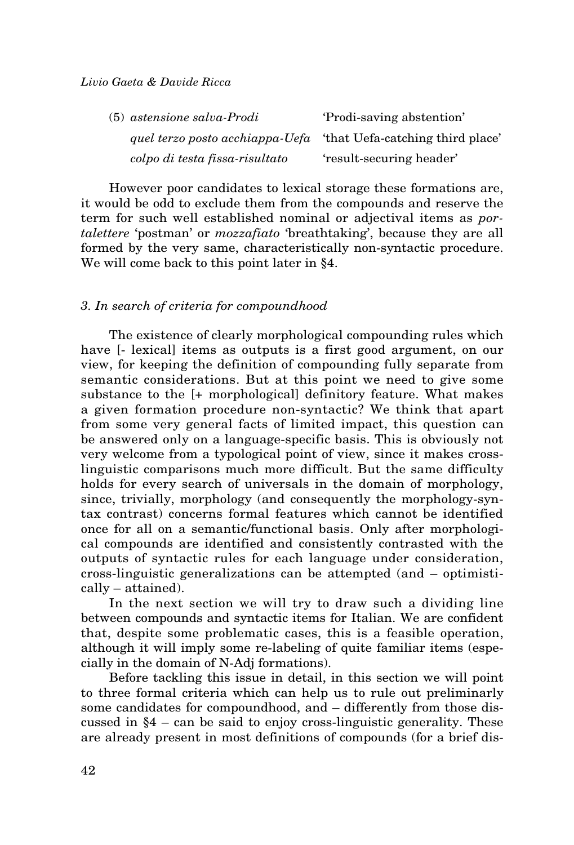| $(5)$ astensione salva-Prodi    | 'Prodi-saving abstention'        |
|---------------------------------|----------------------------------|
| quel terzo posto acchiappa-Uefa | 'that Uefa-catching third place' |
| colpo di testa fissa-risultato  | 'result-securing header'         |

However poor candidates to lexical storage these formations are, it would be odd to exclude them from the compounds and reserve the term for such well established nominal or adjectival items as *portalettere* 'postman' or *mozzafiato* 'breathtaking', because they are all formed by the very same, characteristically non-syntactic procedure. We will come back to this point later in §4.

# *3. In search of criteria for compoundhood*

The existence of clearly morphological compounding rules which have [- lexical] items as outputs is a first good argument, on our view, for keeping the definition of compounding fully separate from semantic considerations. But at this point we need to give some substance to the [+ morphological] definitory feature. What makes a given formation procedure non-syntactic? We think that apart from some very general facts of limited impact, this question can be answered only on a language-specific basis. This is obviously not very welcome from a typological point of view, since it makes crosslinguistic comparisons much more difficult. But the same difficulty holds for every search of universals in the domain of morphology, since, trivially, morphology (and consequently the morphology-syntax contrast) concerns formal features which cannot be identified once for all on a semantic/functional basis. Only after morphological compounds are identified and consistently contrasted with the outputs of syntactic rules for each language under consideration, cross-linguistic generalizations can be attempted (and – optimistically – attained).

In the next section we will try to draw such a dividing line between compounds and syntactic items for Italian. We are confident that, despite some problematic cases, this is a feasible operation, although it will imply some re-labeling of quite familiar items (especially in the domain of N-Adj formations).

Before tackling this issue in detail, in this section we will point to three formal criteria which can help us to rule out preliminarly some candidates for compoundhood, and – differently from those discussed in §4 – can be said to enjoy cross-linguistic generality. These are already present in most definitions of compounds (for a brief dis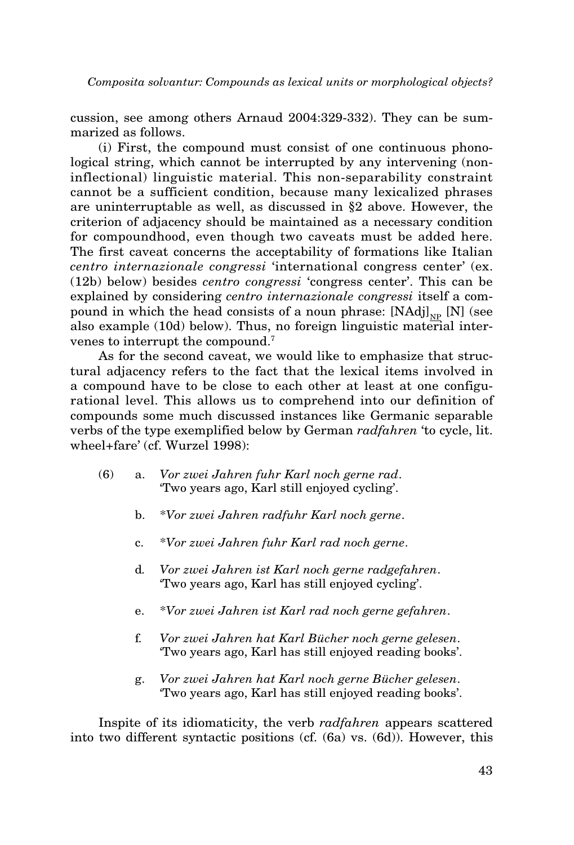cussion, see among others Arnaud 2004:329-332). They can be summarized as follows.

(i) First, the compound must consist of one continuous phonological string, which cannot be interrupted by any intervening (noninflectional) linguistic material. This non-separability constraint cannot be a sufficient condition, because many lexicalized phrases are uninterruptable as well, as discussed in §2 above. However, the criterion of adjacency should be maintained as a necessary condition for compoundhood, even though two caveats must be added here. The first caveat concerns the acceptability of formations like Italian *centro internazionale congressi* 'international congress center' (ex. (12b) below) besides *centro congressi* 'congress center'. This can be explained by considering *centro internazionale congressi* itself a compound in which the head consists of a noun phrase:  $[NAdj]_{NP}$  [N] (see also example (10d) below). Thus, no foreign linguistic material intervenes to interrupt the compound.7

As for the second caveat, we would like to emphasize that structural adjacency refers to the fact that the lexical items involved in a compound have to be close to each other at least at one configurational level. This allows us to comprehend into our definition of compounds some much discussed instances like Germanic separable verbs of the type exemplified below by German *radfahren* 'to cycle, lit. wheel+fare' (cf. Wurzel 1998):

- (6) a. *Vor zwei Jahren fuhr Karl noch gerne rad*. 'Two years ago, Karl still enjoyed cycling'.
	- b. \**Vor zwei Jahren radfuhr Karl noch gerne*.
	- c. \**Vor zwei Jahren fuhr Karl rad noch gerne*.
	- d*. Vor zwei Jahren ist Karl noch gerne radgefahren*. 'Two years ago, Karl has still enjoyed cycling'.
	- e. \**Vor zwei Jahren ist Karl rad noch gerne gefahren*.
	- f*. Vor zwei Jahren hat Karl Bücher noch gerne gelesen*. 'Two years ago, Karl has still enjoyed reading books'.
	- g. *Vor zwei Jahren hat Karl noch gerne Bücher gelesen*. 'Two years ago, Karl has still enjoyed reading books'.

Inspite of its idiomaticity, the verb *radfahren* appears scattered into two different syntactic positions (cf. (6a) vs. (6d)). However, this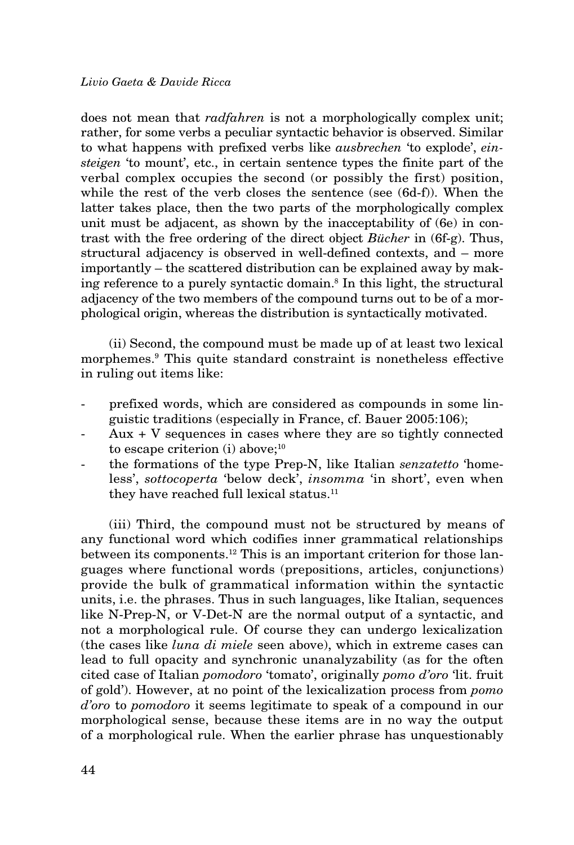does not mean that *radfahren* is not a morphologically complex unit; rather, for some verbs a peculiar syntactic behavior is observed. Similar to what happens with prefixed verbs like *ausbrechen* 'to explode', *einsteigen* 'to mount', etc., in certain sentence types the finite part of the verbal complex occupies the second (or possibly the first) position, while the rest of the verb closes the sentence (see (6d-f)). When the latter takes place, then the two parts of the morphologically complex unit must be adjacent, as shown by the inacceptability of (6e) in contrast with the free ordering of the direct object *Bücher* in (6f-g). Thus, structural adjacency is observed in well-defined contexts, and – more importantly – the scattered distribution can be explained away by making reference to a purely syntactic domain.8 In this light, the structural adjacency of the two members of the compound turns out to be of a morphological origin, whereas the distribution is syntactically motivated.

(ii) Second, the compound must be made up of at least two lexical morphemes.9 This quite standard constraint is nonetheless effective in ruling out items like:

- prefixed words, which are considered as compounds in some linguistic traditions (especially in France, cf. Bauer 2005:106);
- $Aux + V$  sequences in cases where they are so tightly connected to escape criterion (i) above;<sup>10</sup>
- the formations of the type Prep-N, like Italian *senzatetto* 'homeless', *sottocoperta* 'below deck', *insomma* 'in short', even when they have reached full lexical status.<sup>11</sup>

(iii) Third, the compound must not be structured by means of any functional word which codifies inner grammatical relationships between its components.12 This is an important criterion for those languages where functional words (prepositions, articles, conjunctions) provide the bulk of grammatical information within the syntactic units, i.e. the phrases. Thus in such languages, like Italian, sequences like N-Prep-N, or V-Det-N are the normal output of a syntactic, and not a morphological rule. Of course they can undergo lexicalization (the cases like *luna di miele* seen above), which in extreme cases can lead to full opacity and synchronic unanalyzability (as for the often cited case of Italian *pomodoro* 'tomato', originally *pomo d'oro* 'lit. fruit of gold'). However, at no point of the lexicalization process from *pomo d'oro* to *pomodoro* it seems legitimate to speak of a compound in our morphological sense, because these items are in no way the output of a morphological rule. When the earlier phrase has unquestionably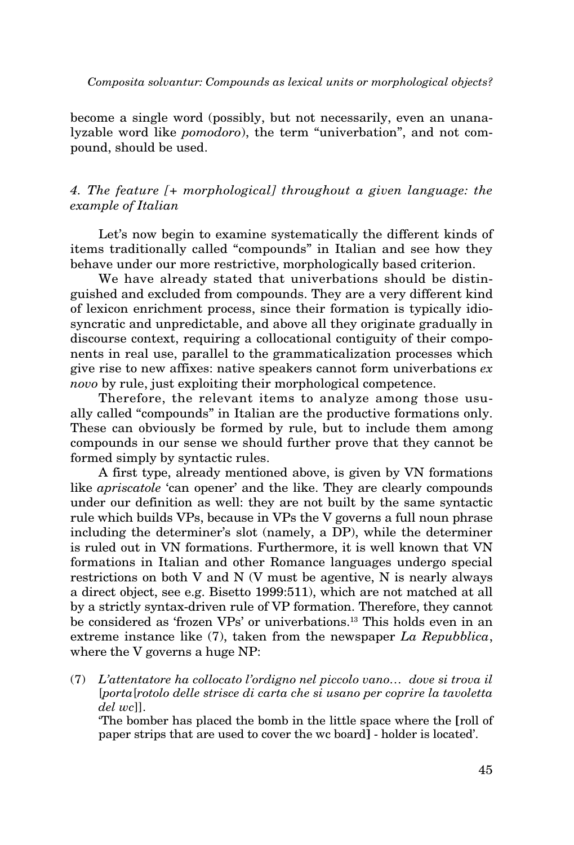become a single word (possibly, but not necessarily, even an unanalyzable word like *pomodoro*), the term "univerbation", and not compound, should be used.

# *4. The feature [+ morphological] throughout a given language: the example of Italian*

Let's now begin to examine systematically the different kinds of items traditionally called "compounds" in Italian and see how they behave under our more restrictive, morphologically based criterion.

We have already stated that univerbations should be distinguished and excluded from compounds. They are a very different kind of lexicon enrichment process, since their formation is typically idiosyncratic and unpredictable, and above all they originate gradually in discourse context, requiring a collocational contiguity of their components in real use, parallel to the grammaticalization processes which give rise to new affixes: native speakers cannot form univerbations *ex novo* by rule, just exploiting their morphological competence.

Therefore, the relevant items to analyze among those usually called "compounds" in Italian are the productive formations only. These can obviously be formed by rule, but to include them among compounds in our sense we should further prove that they cannot be formed simply by syntactic rules.

A first type, already mentioned above, is given by VN formations like *apriscatole* 'can opener' and the like. They are clearly compounds under our definition as well: they are not built by the same syntactic rule which builds VPs, because in VPs the V governs a full noun phrase including the determiner's slot (namely, a DP), while the determiner is ruled out in VN formations. Furthermore, it is well known that VN formations in Italian and other Romance languages undergo special restrictions on both V and N (V must be agentive, N is nearly always a direct object, see e.g. Bisetto 1999:511), which are not matched at all by a strictly syntax-driven rule of VP formation. Therefore, they cannot be considered as 'frozen VPs' or univerbations.<sup>13</sup> This holds even in an extreme instance like (7), taken from the newspaper *La Repubblica*, where the V governs a huge NP:

(7) *L'attentatore ha collocato l'ordigno nel piccolo vano… dove si trova il*  [*porta*[*rotolo delle strisce di carta che si usano per coprire la tavoletta del wc*]].

'The bomber has placed the bomb in the little space where the [roll of paper strips that are used to cover the wc board] - holder is located'.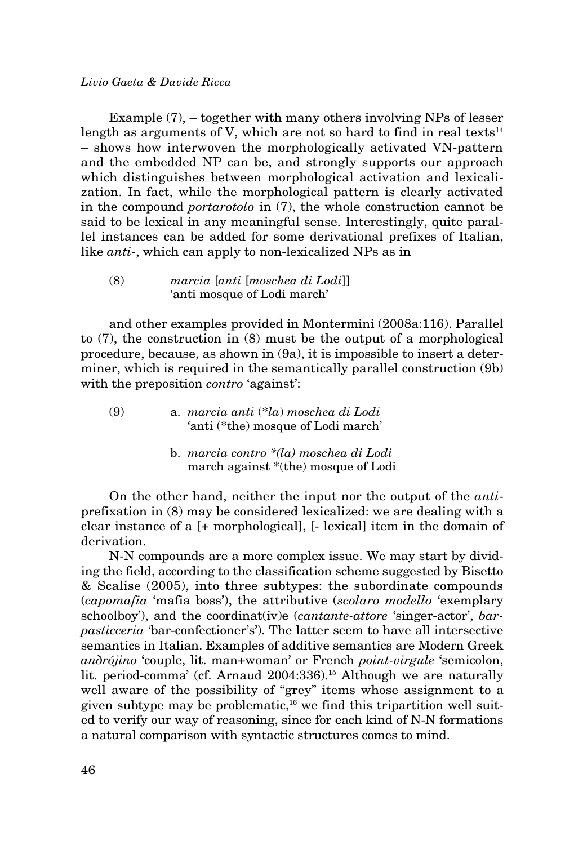Example (7), – together with many others involving NPs of lesser length as arguments of V, which are not so hard to find in real texts $^{14}$ – shows how interwoven the morphologically activated VN-pattern and the embedded NP can be, and strongly supports our approach which distinguishes between morphological activation and lexicalization. In fact, while the morphological pattern is clearly activated in the compound *portarotolo* in (7), the whole construction cannot be said to be lexical in any meaningful sense. Interestingly, quite parallel instances can be added for some derivational prefixes of Italian, like *anti*-, which can apply to non-lexicalized NPs as in

(8) *marcia* [*anti* [*moschea di Lodi*]] 'anti mosque of Lodi march'

and other examples provided in Montermini (2008a:116). Parallel to (7), the construction in (8) must be the output of a morphological procedure, because, as shown in (9a), it is impossible to insert a determiner, which is required in the semantically parallel construction (9b) with the preposition *contro* 'against':

- (9) a. *marcia anti* (\**la*) *moschea di Lodi* 'anti (\*the) mosque of Lodi march'
	- b. *marcia contro \*(la) moschea di Lodi* march against \*(the) mosque of Lodi

On the other hand, neither the input nor the output of the *anti*prefixation in (8) may be considered lexicalized: we are dealing with a clear instance of a [+ morphological], [- lexical] item in the domain of derivation.

N-N compounds are a more complex issue. We may start by dividing the field, according to the classification scheme suggested by Bisetto & Scalise (2005), into three subtypes: the subordinate compounds (*capomafia* 'mafia boss'), the attributive (*scolaro modello* 'exemplary schoolboy'), and the coordinat(iv)e (*cantante-attore* 'singer-actor', *barpasticceria* 'bar-confectioner's'). The latter seem to have all intersective semantics in Italian. Examples of additive semantics are Modern Greek *anðrójino* 'couple, lit. man+woman' or French *point-virgule* 'semicolon, lit. period-comma' (cf. Arnaud 2004:336).15 Although we are naturally well aware of the possibility of "grey" items whose assignment to a given subtype may be problematic, $16$  we find this tripartition well suited to verify our way of reasoning, since for each kind of N-N formations a natural comparison with syntactic structures comes to mind.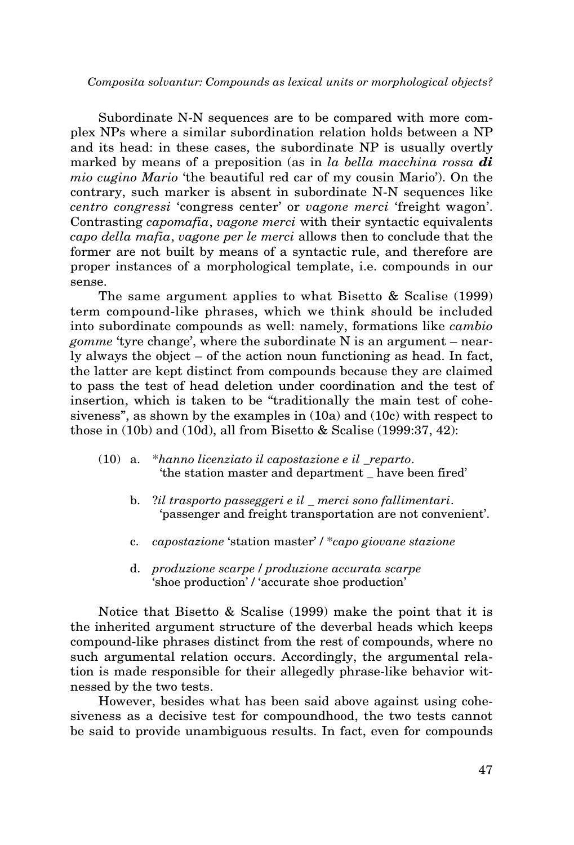Subordinate N-N sequences are to be compared with more complex NPs where a similar subordination relation holds between a NP and its head: in these cases, the subordinate NP is usually overtly marked by means of a preposition (as in *la bella macchina rossa di mio cugino Mario* 'the beautiful red car of my cousin Mario'). On the contrary, such marker is absent in subordinate N-N sequences like *centro congressi* 'congress center' or *vagone merci* 'freight wagon'. Contrasting *capomafia*, *vagone merci* with their syntactic equivalents *capo della mafia*, *vagone per le merci* allows then to conclude that the former are not built by means of a syntactic rule, and therefore are proper instances of a morphological template, i.e. compounds in our sense.

The same argument applies to what Bisetto & Scalise (1999) term compound-like phrases, which we think should be included into subordinate compounds as well: namely, formations like *cambio gomme* 'tyre change', where the subordinate N is an argument – nearly always the object – of the action noun functioning as head. In fact, the latter are kept distinct from compounds because they are claimed to pass the test of head deletion under coordination and the test of insertion, which is taken to be "traditionally the main test of cohesiveness", as shown by the examples in (10a) and (10c) with respect to those in (10b) and (10d), all from Bisetto & Scalise (1999:37, 42):

- (10) a. \**hanno licenziato il capostazione e il \_reparto*. 'the station master and department \_ have been fired'
	- b. ?*il trasporto passeggeri e il \_ merci sono fallimentari*. 'passenger and freight transportation are not convenient'.
	- c. *capostazione* 'station master' / \**capo giovane stazione*
	- d. *produzione scarpe* / *produzione accurata scarpe* 'shoe production' / 'accurate shoe production'

Notice that Bisetto & Scalise (1999) make the point that it is the inherited argument structure of the deverbal heads which keeps compound-like phrases distinct from the rest of compounds, where no such argumental relation occurs. Accordingly, the argumental relation is made responsible for their allegedly phrase-like behavior witnessed by the two tests.

However, besides what has been said above against using cohesiveness as a decisive test for compoundhood, the two tests cannot be said to provide unambiguous results. In fact, even for compounds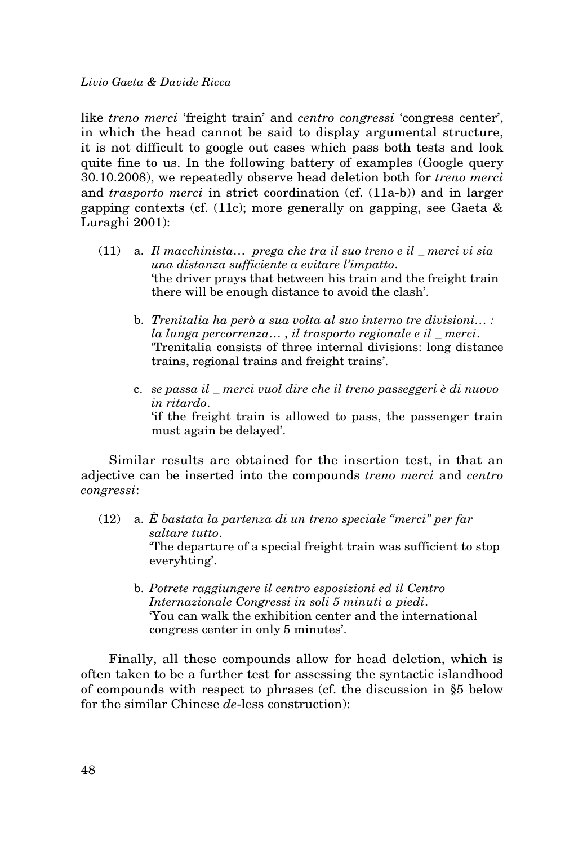like *treno merci* 'freight train' and *centro congressi* 'congress center', in which the head cannot be said to display argumental structure, it is not difficult to google out cases which pass both tests and look quite fine to us. In the following battery of examples (Google query 30.10.2008), we repeatedly observe head deletion both for *treno merci* and *trasporto merci* in strict coordination (cf. (11a-b)) and in larger gapping contexts (cf. (11c); more generally on gapping, see Gaeta & Luraghi 2001):

- (11) a. *Il macchinista… prega che tra il suo treno e il \_ merci vi sia una distanza sufficiente a evitare l'impatto*. 'the driver prays that between his train and the freight train there will be enough distance to avoid the clash'.
	- b. *Trenitalia ha però a sua volta al suo interno tre divisioni… : la lunga percorrenza… , il trasporto regionale e il \_ merci*. 'Trenitalia consists of three internal divisions: long distance trains, regional trains and freight trains'.
	- c. *se passa il \_ merci vuol dire che il treno passeggeri è di nuovo in ritardo*.

'if the freight train is allowed to pass, the passenger train must again be delayed'.

Similar results are obtained for the insertion test, in that an adjective can be inserted into the compounds *treno merci* and *centro congressi*:

- (12) a. *È bastata la partenza di un treno speciale "merci" per far saltare tutto*. 'The departure of a special freight train was sufficient to stop everyhting'.
	- b. *Potrete raggiungere il centro esposizioni ed il Centro Internazionale Congressi in soli 5 minuti a piedi*. 'You can walk the exhibition center and the international congress center in only 5 minutes'.

Finally, all these compounds allow for head deletion, which is often taken to be a further test for assessing the syntactic islandhood of compounds with respect to phrases (cf. the discussion in §5 below for the similar Chinese *de*-less construction):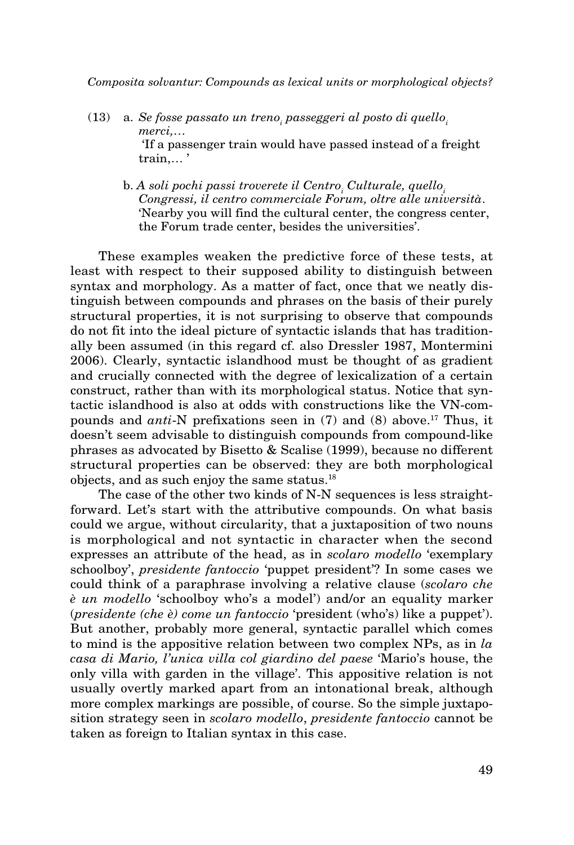- (13) a. *Se fosse passato un treno<sub>i</sub> passeggeri al posto di quello<sub>i</sub> merci,…*  'If a passenger train would have passed instead of a freight train,… '
	- b. A soli pochi passi troverete il Centro<sub>i</sub> Culturale, quello<sub>i</sub> *Congressi, il centro commerciale Forum, oltre alle università*. 'Nearby you will find the cultural center, the congress center, the Forum trade center, besides the universities'.

These examples weaken the predictive force of these tests, at least with respect to their supposed ability to distinguish between syntax and morphology. As a matter of fact, once that we neatly distinguish between compounds and phrases on the basis of their purely structural properties, it is not surprising to observe that compounds do not fit into the ideal picture of syntactic islands that has traditionally been assumed (in this regard cf. also Dressler 1987, Montermini 2006). Clearly, syntactic islandhood must be thought of as gradient and crucially connected with the degree of lexicalization of a certain construct, rather than with its morphological status. Notice that syntactic islandhood is also at odds with constructions like the VN-compounds and *anti*-N prefixations seen in (7) and (8) above.17 Thus, it doesn't seem advisable to distinguish compounds from compound-like phrases as advocated by Bisetto & Scalise (1999), because no different structural properties can be observed: they are both morphological objects, and as such enjoy the same status.18

The case of the other two kinds of N-N sequences is less straightforward. Let's start with the attributive compounds. On what basis could we argue, without circularity, that a juxtaposition of two nouns is morphological and not syntactic in character when the second expresses an attribute of the head, as in *scolaro modello* 'exemplary schoolboy', *presidente fantoccio* 'puppet president'? In some cases we could think of a paraphrase involving a relative clause (*scolaro che è un modello* 'schoolboy who's a model') and/or an equality marker (*presidente (che è) come un fantoccio* 'president (who's) like a puppet'). But another, probably more general, syntactic parallel which comes to mind is the appositive relation between two complex NPs, as in *la casa di Mario, l'unica villa col giardino del paese* 'Mario's house, the only villa with garden in the village'. This appositive relation is not usually overtly marked apart from an intonational break, although more complex markings are possible, of course. So the simple juxtaposition strategy seen in *scolaro modello*, *presidente fantoccio* cannot be taken as foreign to Italian syntax in this case.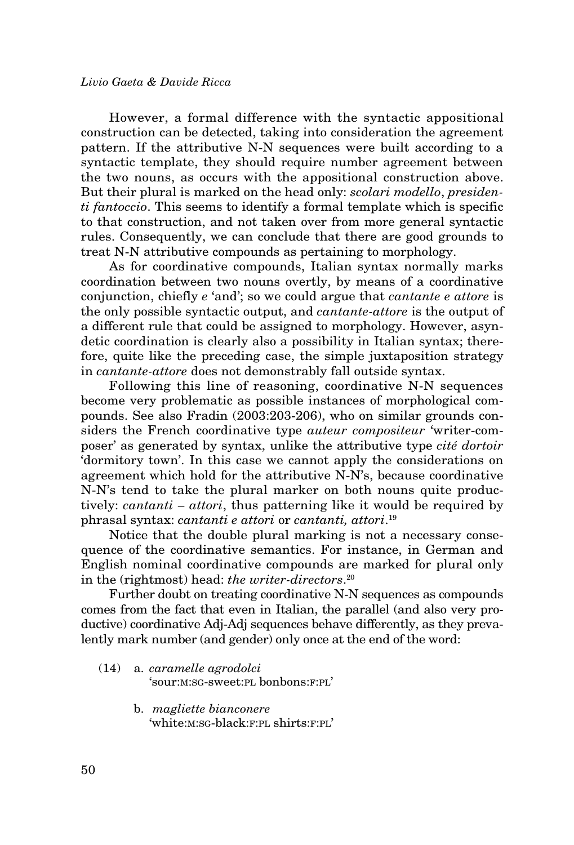However, a formal difference with the syntactic appositional construction can be detected, taking into consideration the agreement pattern. If the attributive N-N sequences were built according to a syntactic template, they should require number agreement between the two nouns, as occurs with the appositional construction above. But their plural is marked on the head only: *scolari modello*, *presidenti fantoccio*. This seems to identify a formal template which is specific to that construction, and not taken over from more general syntactic rules. Consequently, we can conclude that there are good grounds to treat N-N attributive compounds as pertaining to morphology.

As for coordinative compounds, Italian syntax normally marks coordination between two nouns overtly, by means of a coordinative conjunction, chiefly *e* 'and'; so we could argue that *cantante e attore* is the only possible syntactic output, and *cantante-attore* is the output of a different rule that could be assigned to morphology. However, asyndetic coordination is clearly also a possibility in Italian syntax; therefore, quite like the preceding case, the simple juxtaposition strategy in *cantante-attore* does not demonstrably fall outside syntax.

Following this line of reasoning, coordinative N-N sequences become very problematic as possible instances of morphological compounds. See also Fradin (2003:203-206), who on similar grounds considers the French coordinative type *auteur compositeur* 'writer-composer' as generated by syntax, unlike the attributive type *cité dortoir* 'dormitory town'. In this case we cannot apply the considerations on agreement which hold for the attributive N-N's, because coordinative N-N's tend to take the plural marker on both nouns quite productively: *cantanti – attori*, thus patterning like it would be required by phrasal syntax: *cantanti e attori* or *cantanti, attori*. 19

Notice that the double plural marking is not a necessary consequence of the coordinative semantics. For instance, in German and English nominal coordinative compounds are marked for plural only in the (rightmost) head: *the writer-directors*. 20

Further doubt on treating coordinative N-N sequences as compounds comes from the fact that even in Italian, the parallel (and also very productive) coordinative Adj-Adj sequences behave differently, as they prevalently mark number (and gender) only once at the end of the word:

- (14) a. *caramelle agrodolci* 'sour:m:sg-sweet:pl bonbons:f:pl'
	- b. *magliette bianconere* 'white:m:sg-black:f:pl shirts:f:pl'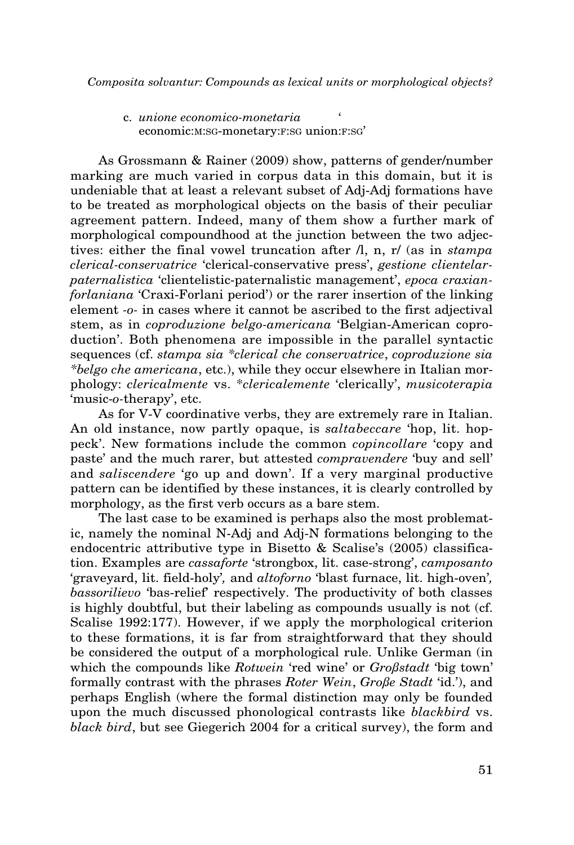c. *unione economico-monetaria* ' economic:M:SG-monetary:F:SG union:F:SG'

As Grossmann & Rainer (2009) show, patterns of gender/number marking are much varied in corpus data in this domain, but it is undeniable that at least a relevant subset of Adj-Adj formations have to be treated as morphological objects on the basis of their peculiar agreement pattern. Indeed, many of them show a further mark of morphological compoundhood at the junction between the two adjectives: either the final vowel truncation after /l, n, r/ (as in *stampa clerical-conservatrice* 'clerical-conservative press', *gestione clientelarpaternalistica* 'clientelistic-paternalistic management', *epoca craxianforlaniana* 'Craxi-Forlani period') or the rarer insertion of the linking element *-o-* in cases where it cannot be ascribed to the first adjectival stem, as in *coproduzione belgo-americana* 'Belgian-American coproduction'. Both phenomena are impossible in the parallel syntactic sequences (cf. *stampa sia \*clerical che conservatrice*, *coproduzione sia \*belgo che americana*, etc.), while they occur elsewhere in Italian morphology: *clericalmente* vs. \**clericalemente* 'clerically', *musicoterapia*  'music-*o-*therapy', etc.

As for V-V coordinative verbs, they are extremely rare in Italian. An old instance, now partly opaque, is *saltabeccare* 'hop, lit. hoppeck'. New formations include the common *copincollare* 'copy and paste' and the much rarer, but attested *compravendere* 'buy and sell' and *saliscendere* 'go up and down'. If a very marginal productive pattern can be identified by these instances, it is clearly controlled by morphology, as the first verb occurs as a bare stem.

The last case to be examined is perhaps also the most problematic, namely the nominal N-Adj and Adj-N formations belonging to the endocentric attributive type in Bisetto & Scalise's (2005) classification. Examples are *cassaforte* 'strongbox, lit. case-strong', *camposanto*  'graveyard, lit. field-holy'*,* and *altoforno* 'blast furnace, lit. high-oven'*, bassorilievo* 'bas-relief' respectively. The productivity of both classes is highly doubtful, but their labeling as compounds usually is not (cf. Scalise 1992:177). However, if we apply the morphological criterion to these formations, it is far from straightforward that they should be considered the output of a morphological rule. Unlike German (in which the compounds like *Rotwein* 'red wine' or *Großstadt* 'big town' formally contrast with the phrases *Roter Wein*, *Große Stadt* 'id.'), and perhaps English (where the formal distinction may only be founded upon the much discussed phonological contrasts like *blackbird* vs. *black bird*, but see Giegerich 2004 for a critical survey), the form and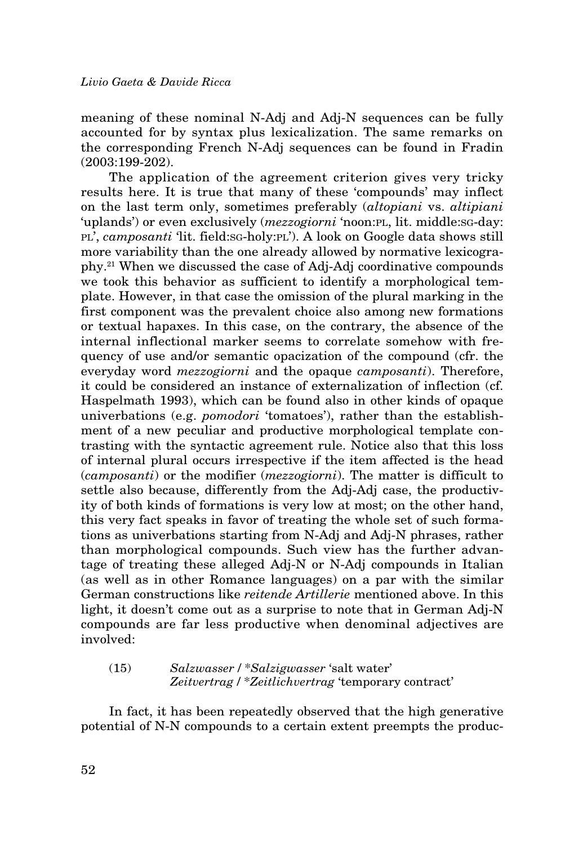meaning of these nominal N-Adj and Adj-N sequences can be fully accounted for by syntax plus lexicalization. The same remarks on the corresponding French N-Adj sequences can be found in Fradin (2003:199-202).

The application of the agreement criterion gives very tricky results here. It is true that many of these 'compounds' may inflect on the last term only, sometimes preferably (*altopiani* vs. *altipiani*  'uplands') or even exclusively (*mezzogiorni* 'noon:PL, lit. middle:SG-dav: pl', *camposanti* 'lit. field:sg-holy:pl'). A look on Google data shows still more variability than the one already allowed by normative lexicography.21 When we discussed the case of Adj-Adj coordinative compounds we took this behavior as sufficient to identify a morphological template. However, in that case the omission of the plural marking in the first component was the prevalent choice also among new formations or textual hapaxes. In this case, on the contrary, the absence of the internal inflectional marker seems to correlate somehow with frequency of use and/or semantic opacization of the compound (cfr. the everyday word *mezzogiorni* and the opaque *camposanti*). Therefore, it could be considered an instance of externalization of inflection (cf. Haspelmath 1993), which can be found also in other kinds of opaque univerbations (e.g. *pomodori* 'tomatoes'), rather than the establishment of a new peculiar and productive morphological template contrasting with the syntactic agreement rule. Notice also that this loss of internal plural occurs irrespective if the item affected is the head (*camposanti*) or the modifier (*mezzogiorni*). The matter is difficult to settle also because, differently from the Adj-Adj case, the productivity of both kinds of formations is very low at most; on the other hand, this very fact speaks in favor of treating the whole set of such formations as univerbations starting from N-Adj and Adj-N phrases, rather than morphological compounds. Such view has the further advantage of treating these alleged Adj-N or N-Adj compounds in Italian (as well as in other Romance languages) on a par with the similar German constructions like *reitende Artillerie* mentioned above. In this light, it doesn't come out as a surprise to note that in German Adj-N compounds are far less productive when denominal adjectives are involved:

(15) *Salzwasser* / \**Salzigwasser* 'salt water' *Zeitvertrag* / \**Zeitlichvertrag* 'temporary contract'

In fact, it has been repeatedly observed that the high generative potential of N-N compounds to a certain extent preempts the produc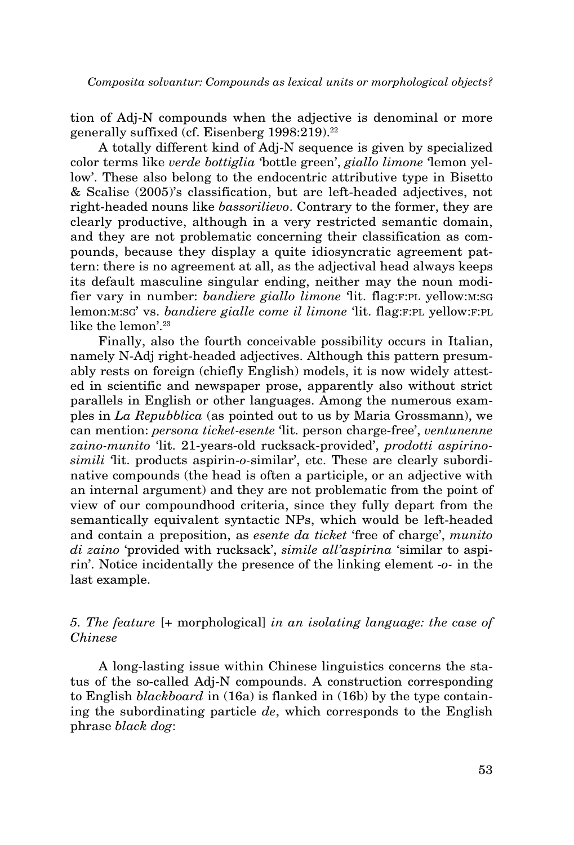tion of Adj-N compounds when the adjective is denominal or more generally suffixed (cf. Eisenberg 1998:219).<sup>22</sup>

A totally different kind of Adj-N sequence is given by specialized color terms like *verde bottiglia* 'bottle green', *giallo limone* 'lemon yellow'. These also belong to the endocentric attributive type in Bisetto & Scalise (2005)'s classification, but are left-headed adjectives, not right-headed nouns like *bassorilievo*. Contrary to the former, they are clearly productive, although in a very restricted semantic domain, and they are not problematic concerning their classification as compounds, because they display a quite idiosyncratic agreement pattern: there is no agreement at all, as the adjectival head always keeps its default masculine singular ending, neither may the noun modifier vary in number: *bandiere giallo limone* 'lit. flag: F: PL yellow: M: SG lemon:*M:SG'* vs. *bandiere gialle come il limone* 'lit. flag:F:PL yellow:F:PL like the lemon'.<sup>23</sup>

Finally, also the fourth conceivable possibility occurs in Italian, namely N-Adj right-headed adjectives. Although this pattern presumably rests on foreign (chiefly English) models, it is now widely attested in scientific and newspaper prose, apparently also without strict parallels in English or other languages. Among the numerous examples in *La Repubblica* (as pointed out to us by Maria Grossmann), we can mention: *persona ticket-esente* 'lit. person charge-free', *ventunenne zaino-munito* 'lit. 21-years-old rucksack-provided', *prodotti aspirinosimili* 'lit. products aspirin-*o-*similar', etc. These are clearly subordinative compounds (the head is often a participle, or an adjective with an internal argument) and they are not problematic from the point of view of our compoundhood criteria, since they fully depart from the semantically equivalent syntactic NPs, which would be left-headed and contain a preposition, as *esente da ticket* 'free of charge', *munito di zaino* 'provided with rucksack', *simile all'aspirina* 'similar to aspirin'. Notice incidentally the presence of the linking element -*o-* in the last example.

# *5. The feature* [+ morphological] *in an isolating language: the case of Chinese*

A long-lasting issue within Chinese linguistics concerns the status of the so-called Adj-N compounds. A construction corresponding to English *blackboard* in (16a) is flanked in (16b) by the type containing the subordinating particle *de*, which corresponds to the English phrase *black dog*: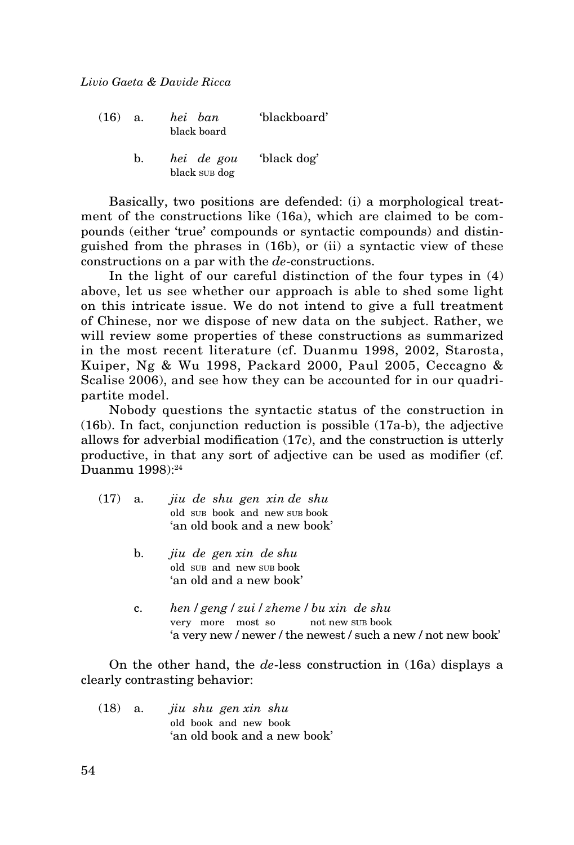| (16) | a.             | hei ban<br>black board      | 'blackboard' |
|------|----------------|-----------------------------|--------------|
|      | $\mathbf{b}$ . | hei de gou<br>black sup dog | 'black dog'  |

Basically, two positions are defended: (i) a morphological treatment of the constructions like (16a), which are claimed to be compounds (either 'true' compounds or syntactic compounds) and distinguished from the phrases in (16b), or (ii) a syntactic view of these constructions on a par with the *de*-constructions.

In the light of our careful distinction of the four types in (4) above, let us see whether our approach is able to shed some light on this intricate issue. We do not intend to give a full treatment of Chinese, nor we dispose of new data on the subject. Rather, we will review some properties of these constructions as summarized in the most recent literature (cf. Duanmu 1998, 2002, Starosta, Kuiper, Ng & Wu 1998, Packard 2000, Paul 2005, Ceccagno & Scalise 2006), and see how they can be accounted for in our quadripartite model.

Nobody questions the syntactic status of the construction in (16b). In fact, conjunction reduction is possible (17a-b), the adjective allows for adverbial modification (17c), and the construction is utterly productive, in that any sort of adjective can be used as modifier (cf. Duanmu 1998):<sup>24</sup>

- (17) a. *jiu de shu gen xin de shu* old sub book and new sub book 'an old book and a new book'
	- b. *jiu de gen xin de shu* old sub and new sub book 'an old and a new book'
	- c. *hen* / *geng* / *zui* / *zheme* / *bu xin de shu* very more most so not new sub book 'a very new / newer / the newest / such a new / not new book'

On the other hand, the *de*-less construction in (16a) displays a clearly contrasting behavior:

(18) a. *jiu shu gen xin shu* old book and new book 'an old book and a new book'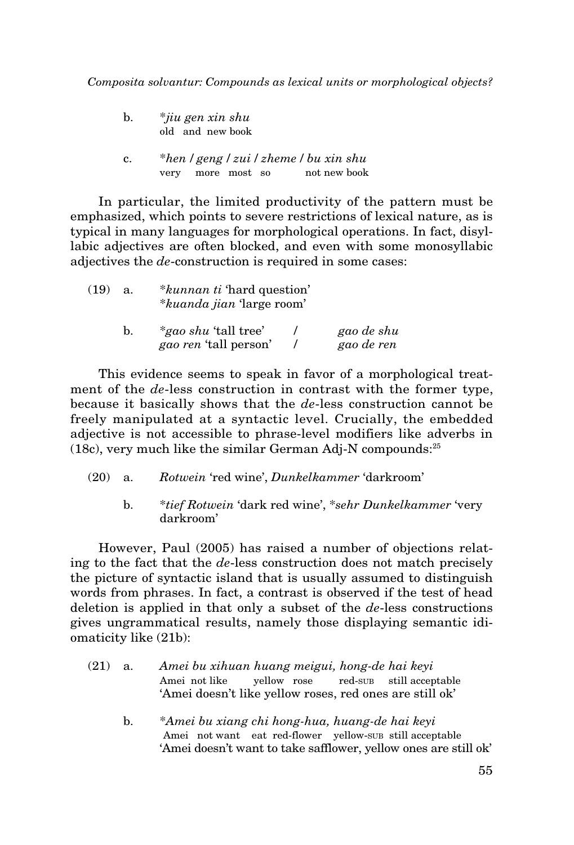| b. | $*$ jiu gen xin shu<br>old and new book                                           |
|----|-----------------------------------------------------------------------------------|
| c. | $*$ hen / geng / zui / zheme / bu xin shu<br>not new book<br>more most so<br>very |

In particular, the limited productivity of the pattern must be emphasized, which points to severe restrictions of lexical nature, as is typical in many languages for morphological operations. In fact, disyllabic adjectives are often blocked, and even with some monosyllabic adjectives the *de*-construction is required in some cases:

| (19) | a. | <i>*kunnan ti</i> 'hard question'<br><i>*kuanda jian</i> 'large room' |  |                          |
|------|----|-----------------------------------------------------------------------|--|--------------------------|
|      | b. | <i>*gao shu</i> 'tall tree'<br><i>gao ren</i> 'tall person'           |  | gao de shu<br>gao de ren |

This evidence seems to speak in favor of a morphological treatment of the *de*-less construction in contrast with the former type, because it basically shows that the *de*-less construction cannot be freely manipulated at a syntactic level. Crucially, the embedded adjective is not accessible to phrase-level modifiers like adverbs in (18c), very much like the similar German Adj-N compounds:25

- (20) a. *Rotwein* 'red wine', *Dunkelkammer* 'darkroom'
	- b. \**tief Rotwein* 'dark red wine', \**sehr Dunkelkammer* 'very darkroom'

However, Paul (2005) has raised a number of objections relating to the fact that the *de*-less construction does not match precisely the picture of syntactic island that is usually assumed to distinguish words from phrases. In fact, a contrast is observed if the test of head deletion is applied in that only a subset of the *de*-less constructions gives ungrammatical results, namely those displaying semantic idiomaticity like (21b):

- (21) a. *Amei bu xihuan huang meigui, hong-de hai keyi* Amei not like yellow rose red-sub still acceptable 'Amei doesn't like yellow roses, red ones are still ok'
	- b. \**Amei bu xiang chi hong-hua, huang-de hai keyi* Amei not want eat red-flower yellow-sub still acceptable 'Amei doesn't want to take safflower, yellow ones are still ok'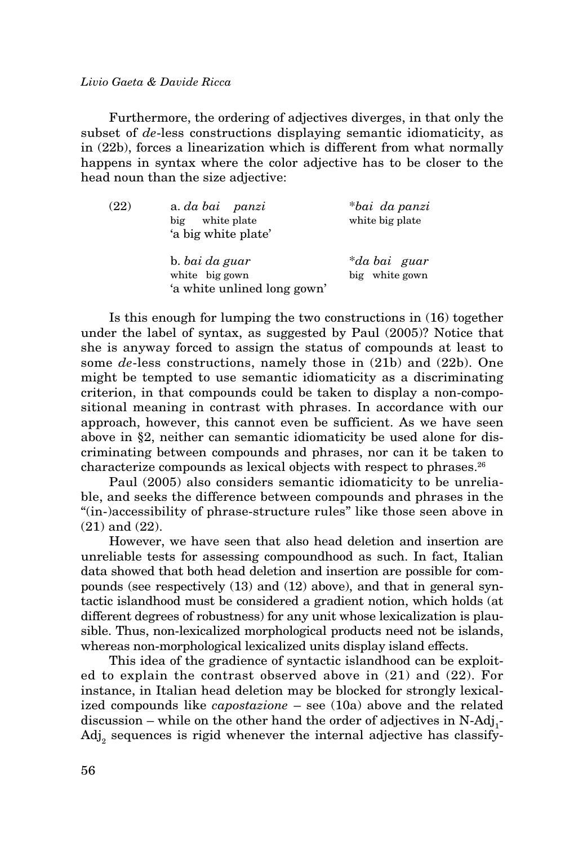Furthermore, the ordering of adjectives diverges, in that only the subset of *de*-less constructions displaying semantic idiomaticity, as in (22b), forces a linearization which is different from what normally happens in syntax where the color adjective has to be closer to the head noun than the size adjective:

| (22) | a. da bai panzi<br>white plate<br>big<br>'a big white plate'    | *bai da panzi<br>white big plate |
|------|-----------------------------------------------------------------|----------------------------------|
|      | b. bai da guar<br>white big gown<br>'a white unlined long gown' | *da bai guar<br>big white gown   |

Is this enough for lumping the two constructions in (16) together under the label of syntax, as suggested by Paul (2005)? Notice that she is anyway forced to assign the status of compounds at least to some *de*-less constructions, namely those in (21b) and (22b). One might be tempted to use semantic idiomaticity as a discriminating criterion, in that compounds could be taken to display a non-compositional meaning in contrast with phrases. In accordance with our approach, however, this cannot even be sufficient. As we have seen above in §2, neither can semantic idiomaticity be used alone for discriminating between compounds and phrases, nor can it be taken to characterize compounds as lexical objects with respect to phrases.26

Paul (2005) also considers semantic idiomaticity to be unreliable, and seeks the difference between compounds and phrases in the "(in-)accessibility of phrase-structure rules" like those seen above in (21) and (22).

However, we have seen that also head deletion and insertion are unreliable tests for assessing compoundhood as such. In fact, Italian data showed that both head deletion and insertion are possible for compounds (see respectively (13) and (12) above), and that in general syntactic islandhood must be considered a gradient notion, which holds (at different degrees of robustness) for any unit whose lexicalization is plausible. Thus, non-lexicalized morphological products need not be islands, whereas non-morphological lexicalized units display island effects.

This idea of the gradience of syntactic islandhood can be exploited to explain the contrast observed above in (21) and (22). For instance, in Italian head deletion may be blocked for strongly lexicalized compounds like *capostazione* – see (10a) above and the related  $disclusion$  – while on the other hand the order of adjectives in  $N\text{-}\mathrm{Adj}_1\text{-}$  $\text{Adj}_2$  sequences is rigid whenever the internal adjective has classify-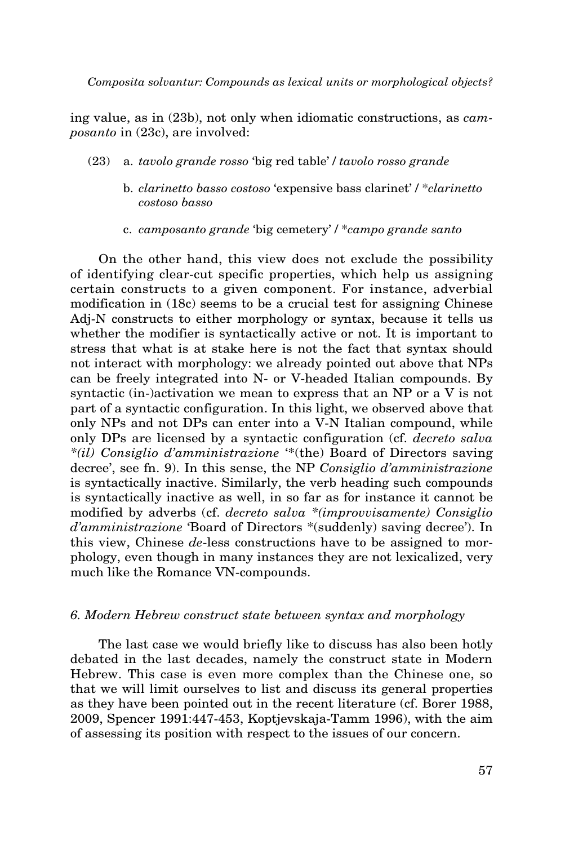ing value, as in (23b), not only when idiomatic constructions, as *camposanto* in (23c), are involved:

- (23) a. *tavolo grande rosso* 'big red table' / *tavolo rosso grande*
	- b. *clarinetto basso costoso* 'expensive bass clarinet' / \**clarinetto costoso basso*
	- c. *camposanto grande* 'big cemetery' / \**campo grande santo*

On the other hand, this view does not exclude the possibility of identifying clear-cut specific properties, which help us assigning certain constructs to a given component. For instance, adverbial modification in (18c) seems to be a crucial test for assigning Chinese Adj-N constructs to either morphology or syntax, because it tells us whether the modifier is syntactically active or not. It is important to stress that what is at stake here is not the fact that syntax should not interact with morphology: we already pointed out above that NPs can be freely integrated into N- or V-headed Italian compounds. By syntactic (in-)activation we mean to express that an NP or a V is not part of a syntactic configuration. In this light, we observed above that only NPs and not DPs can enter into a V-N Italian compound, while only DPs are licensed by a syntactic configuration (cf. *decreto salva \*(il) Consiglio d'amministrazione* '\*(the) Board of Directors saving decree', see fn. 9). In this sense, the NP *Consiglio d'amministrazione* is syntactically inactive. Similarly, the verb heading such compounds is syntactically inactive as well, in so far as for instance it cannot be modified by adverbs (cf. *decreto salva \*(improvvisamente) Consiglio d'amministrazione* 'Board of Directors \*(suddenly) saving decree'). In this view, Chinese *de*-less constructions have to be assigned to morphology, even though in many instances they are not lexicalized, very much like the Romance VN-compounds.

## *6. Modern Hebrew construct state between syntax and morphology*

The last case we would briefly like to discuss has also been hotly debated in the last decades, namely the construct state in Modern Hebrew. This case is even more complex than the Chinese one, so that we will limit ourselves to list and discuss its general properties as they have been pointed out in the recent literature (cf. Borer 1988, 2009, Spencer 1991:447-453, Koptjevskaja-Tamm 1996), with the aim of assessing its position with respect to the issues of our concern.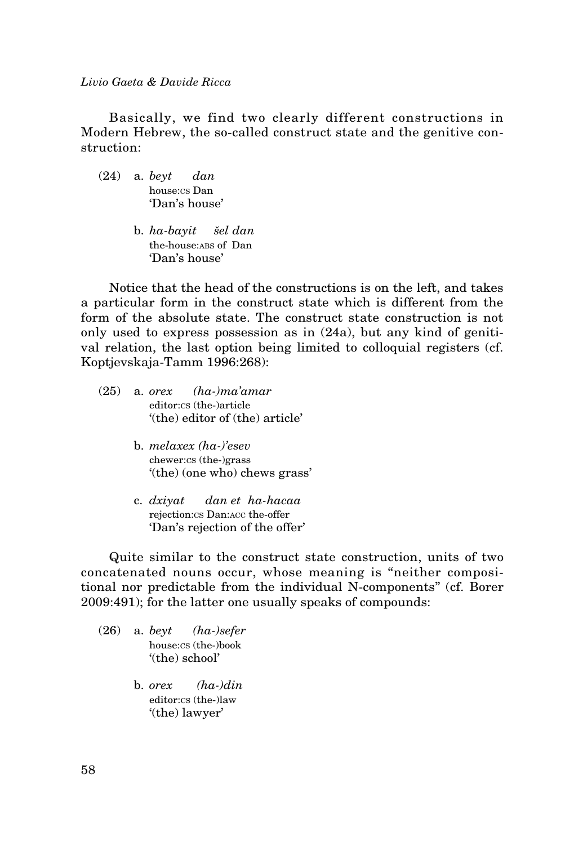Basically, we find two clearly different constructions in Modern Hebrew, the so-called construct state and the genitive construction:

- (24) a. *beyt dan* house:cs Dan 'Dan's house'
	- b. *ha-bayit šel dan* the-house: ABS of Dan 'Dan's house'

Notice that the head of the constructions is on the left, and takes a particular form in the construct state which is different from the form of the absolute state. The construct state construction is not only used to express possession as in (24a), but any kind of genitival relation, the last option being limited to colloquial registers (cf. Koptjevskaja-Tamm 1996:268):

- (25) a. *orex (ha-)ma'amar* editor:cs (the-)article '(the) editor of (the) article'
	- b. *melaxex (ha-)'esev* chewer:cs (the-)grass '(the) (one who) chews grass'
	- c. *dxiyat dan et ha-hacaa* rejection:cs Dan:acc the-offer 'Dan's rejection of the offer'

Quite similar to the construct state construction, units of two concatenated nouns occur, whose meaning is "neither compositional nor predictable from the individual N-components" (cf. Borer 2009:491); for the latter one usually speaks of compounds:

- (26) a. *beyt (ha-)sefer* house:cs (the-)book '(the) school'
	- b. *orex (ha-)din* editor:cs (the-)law '(the) lawyer'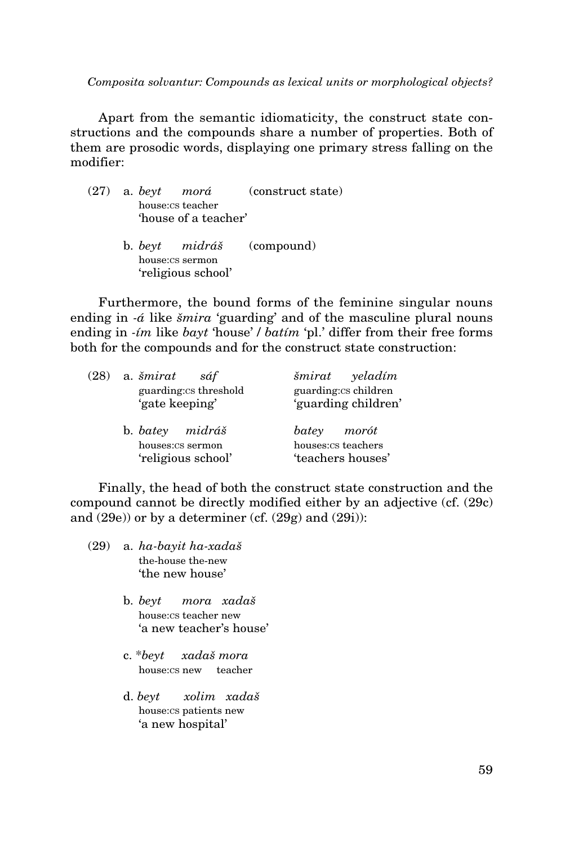Apart from the semantic idiomaticity, the construct state constructions and the compounds share a number of properties. Both of them are prosodic words, displaying one primary stress falling on the modifier:

|  | $(27)$ a. beyt morá  | (construct state)         |
|--|----------------------|---------------------------|
|  | house:cs teacher     |                           |
|  | 'house of a teacher' |                           |
|  |                      | b. beyt midráš (compound) |
|  | house:cs sermon      |                           |
|  | 'religious school'   |                           |
|  |                      |                           |

Furthermore, the bound forms of the feminine singular nouns ending in *-á* like *šmira* 'guarding' and of the masculine plural nouns ending in *-ím* like *bayt* 'house' / *batím* 'pl.' differ from their free forms both for the compounds and for the construct state construction:

| (28) | a. šmirat<br>sáf<br>guarding: cs threshold<br>'gate keeping' | šmirat yeladím<br>guarding: cs children<br>'guarding children' |
|------|--------------------------------------------------------------|----------------------------------------------------------------|
|      | b. batev midráš<br>houses:cs sermon<br>'religious school'    | batey morót<br>houses: cs teachers<br>'teachers houses'        |

Finally, the head of both the construct state construction and the compound cannot be directly modified either by an adjective (cf. (29c) and  $(29e)$  or by a determiner (cf.  $(29g)$  and  $(29i)$ ):

- (29) a. *ha-bayit ha-xadaš* the-house the-new 'the new house'
	- b. *beyt mora xadaš* house:cs teacher new 'a new teacher's house'
	- c. \**beyt xadaš mora* house:cs new teacher
	- d. *beyt xolim xadaš* house:cs patients new 'a new hospital'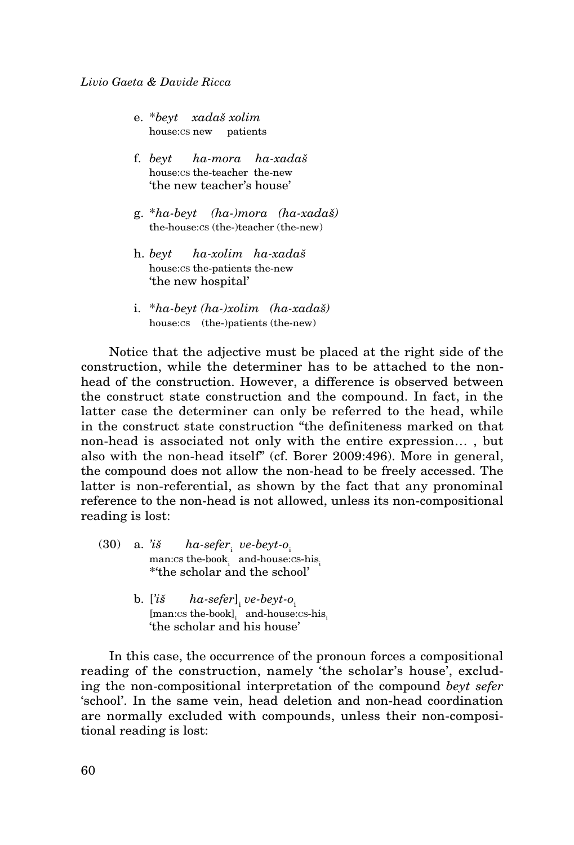- e. \**beyt xadaš xolim* house:cs new patients
- f. *beyt ha-mora ha-xadaš* house:cs the-teacher the-new 'the new teacher's house'
- g. \**ha-beyt (ha-)mora (ha-xadaš)* the-house:cs (the-)teacher (the-new)
- h. *beyt ha-xolim ha-xadaš* house:cs the-patients the-new 'the new hospital'
- i. \**ha-beyt (ha-)xolim (ha-xadaš)* house:cs (the-)patients (the-new)

Notice that the adjective must be placed at the right side of the construction, while the determiner has to be attached to the nonhead of the construction. However, a difference is observed between the construct state construction and the compound. In fact, in the latter case the determiner can only be referred to the head, while in the construct state construction "the definiteness marked on that non-head is associated not only with the entire expression… , but also with the non-head itself" (cf. Borer 2009:496). More in general, the compound does not allow the non-head to be freely accessed. The latter is non-referential, as shown by the fact that any pronominal reference to the non-head is not allowed, unless its non-compositional reading is lost:

- $(30)$  a. *'iš*  $ha\text{-}sefer$ <sub>i</sub> ve-beyt-o<sub>i</sub>  $man:cs$  the-book<sub>i</sub> and-house:cs-his<sub>i</sub> \*'the scholar and the school'
- b. ['iš ha-sefer]<sub>i</sub> ve-beyt-o<sub>i</sub>  $[man:cs the-book]$ <sub>i</sub> and-house:cs-his 'the scholar and his house'

In this case, the occurrence of the pronoun forces a compositional reading of the construction, namely 'the scholar's house', excluding the non-compositional interpretation of the compound *beyt sefer* 'school'. In the same vein, head deletion and non-head coordination are normally excluded with compounds, unless their non-compositional reading is lost: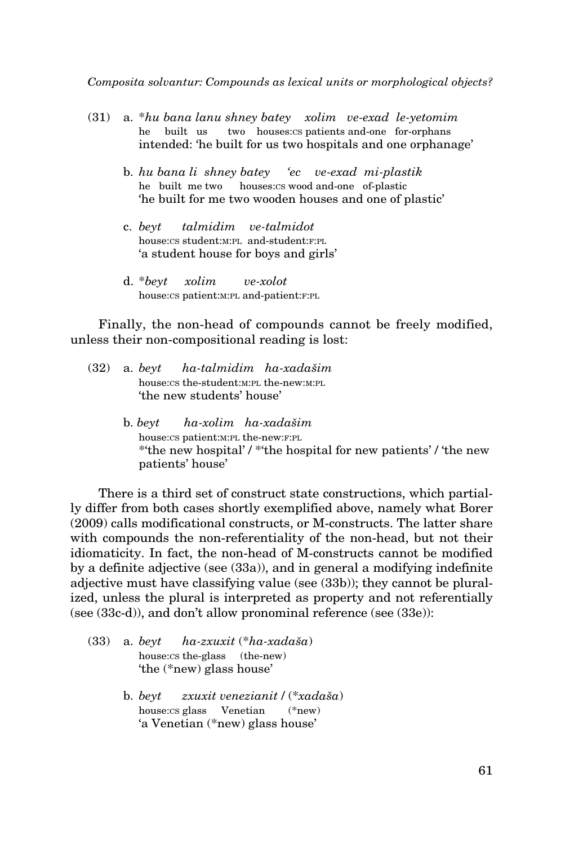- (31) a. \**hu bana lanu shney batey xolim ve-exad le-yetomim* he built us two houses:cs patients and-one for-orphans intended: 'he built for us two hospitals and one orphanage'
	- b. *hu bana li shney batey 'ec ve-exad mi-plastik* he built me two houses:cs wood and-one of-plastic 'he built for me two wooden houses and one of plastic'
	- c. *beyt talmidim ve-talmidot* house:cs student:M:PL and-student:F:PL 'a student house for boys and girls'
	- d. \**beyt xolim ve-xolot* house:cs patient: M: PL and-patient: F: PL

Finally, the non-head of compounds cannot be freely modified, unless their non-compositional reading is lost:

- (32) a. *beyt ha-talmidim ha-xadašim* house:cs the-student: M: PL the-new: M: PL 'the new students' house'
	- b. *beyt ha-xolim ha-xadašim* house:cs patient:m:pl the-new:f:pl \*'the new hospital' / \*'the hospital for new patients' / 'the new patients' house'

There is a third set of construct state constructions, which partially differ from both cases shortly exemplified above, namely what Borer (2009) calls modificational constructs, or M-constructs. The latter share with compounds the non-referentiality of the non-head, but not their idiomaticity. In fact, the non-head of M-constructs cannot be modified by a definite adjective (see (33a)), and in general a modifying indefinite adjective must have classifying value (see (33b)); they cannot be pluralized, unless the plural is interpreted as property and not referentially (see (33c-d)), and don't allow pronominal reference (see (33e)):

- (33) a. *beyt ha-zxuxit* (\**ha-xadaša*) house:cs the-glass (the-new) 'the (\*new) glass house'
	- b. *beyt zxuxit venezianit* / (\**xadaša*) house:cs glass Venetian (\*new) 'a Venetian (\*new) glass house'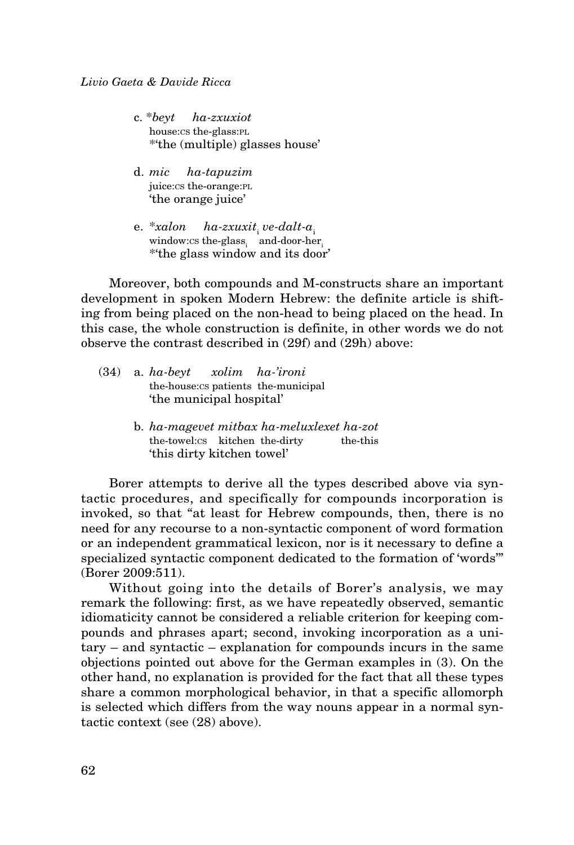- c. \**beyt ha-zxuxiot* house:cs the-glass:pl \*'the (multiple) glasses house'
- d. *mic ha-tapuzim* juice:cs the-orange:pl 'the orange juice'
- e. \**xalon ha-zxuxit*<sub>i</sub> *ve-dalt-a*<sub>i</sub> window: $\text{cs}$  the-glass<sub>i</sub> and-door-her<sub>i</sub> \*'the glass window and its door'

Moreover, both compounds and M-constructs share an important development in spoken Modern Hebrew: the definite article is shifting from being placed on the non-head to being placed on the head. In this case, the whole construction is definite, in other words we do not observe the contrast described in (29f) and (29h) above:

- (34) a. *ha-beyt xolim ha-'ironi* the-house:cs patients the-municipal 'the municipal hospital'
	- b. *ha-magevet mitbax ha-meluxlexet ha-zot* the-towel:cs kitchen the-dirty the-this 'this dirty kitchen towel'

Borer attempts to derive all the types described above via syntactic procedures, and specifically for compounds incorporation is invoked, so that "at least for Hebrew compounds, then, there is no need for any recourse to a non-syntactic component of word formation or an independent grammatical lexicon, nor is it necessary to define a specialized syntactic component dedicated to the formation of 'words'" (Borer 2009:511).

Without going into the details of Borer's analysis, we may remark the following: first, as we have repeatedly observed, semantic idiomaticity cannot be considered a reliable criterion for keeping compounds and phrases apart; second, invoking incorporation as a unitary – and syntactic – explanation for compounds incurs in the same objections pointed out above for the German examples in (3). On the other hand, no explanation is provided for the fact that all these types share a common morphological behavior, in that a specific allomorph is selected which differs from the way nouns appear in a normal syntactic context (see (28) above).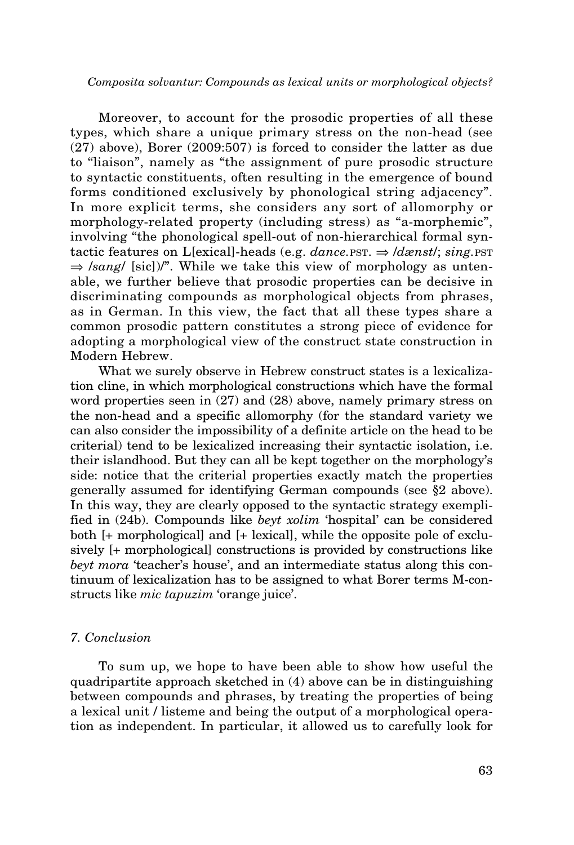Moreover, to account for the prosodic properties of all these types, which share a unique primary stress on the non-head (see (27) above), Borer (2009:507) is forced to consider the latter as due to "liaison", namely as "the assignment of pure prosodic structure to syntactic constituents, often resulting in the emergence of bound forms conditioned exclusively by phonological string adjacency". In more explicit terms, she considers any sort of allomorphy or morphology-related property (including stress) as "a-morphemic", involving "the phonological spell-out of non-hierarchical formal syntactic features on L[exical]-heads (e.g. *dance.* pst.  $\Rightarrow$  */dænst/; sing.* pst.  $\Rightarrow$  /sang/ [sic])/". While we take this view of morphology as untenable, we further believe that prosodic properties can be decisive in discriminating compounds as morphological objects from phrases, as in German. In this view, the fact that all these types share a common prosodic pattern constitutes a strong piece of evidence for adopting a morphological view of the construct state construction in Modern Hebrew.

What we surely observe in Hebrew construct states is a lexicalization cline, in which morphological constructions which have the formal word properties seen in (27) and (28) above, namely primary stress on the non-head and a specific allomorphy (for the standard variety we can also consider the impossibility of a definite article on the head to be criterial) tend to be lexicalized increasing their syntactic isolation, i.e. their islandhood. But they can all be kept together on the morphology's side: notice that the criterial properties exactly match the properties generally assumed for identifying German compounds (see §2 above). In this way, they are clearly opposed to the syntactic strategy exemplified in (24b). Compounds like *beyt xolim* 'hospital' can be considered both [+ morphological] and [+ lexical], while the opposite pole of exclusively [+ morphological] constructions is provided by constructions like *beyt mora* 'teacher's house', and an intermediate status along this continuum of lexicalization has to be assigned to what Borer terms M-constructs like *mic tapuzim* 'orange juice'.

## *7. Conclusion*

To sum up, we hope to have been able to show how useful the quadripartite approach sketched in (4) above can be in distinguishing between compounds and phrases, by treating the properties of being a lexical unit / listeme and being the output of a morphological operation as independent. In particular, it allowed us to carefully look for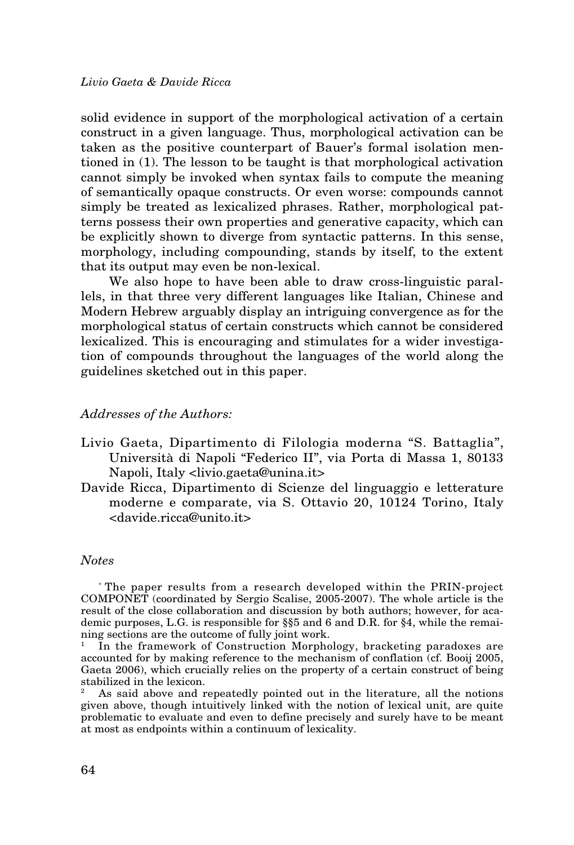solid evidence in support of the morphological activation of a certain construct in a given language. Thus, morphological activation can be taken as the positive counterpart of Bauer's formal isolation mentioned in (1). The lesson to be taught is that morphological activation cannot simply be invoked when syntax fails to compute the meaning of semantically opaque constructs. Or even worse: compounds cannot simply be treated as lexicalized phrases. Rather, morphological patterns possess their own properties and generative capacity, which can be explicitly shown to diverge from syntactic patterns. In this sense, morphology, including compounding, stands by itself, to the extent that its output may even be non-lexical.

We also hope to have been able to draw cross-linguistic parallels, in that three very different languages like Italian, Chinese and Modern Hebrew arguably display an intriguing convergence as for the morphological status of certain constructs which cannot be considered lexicalized. This is encouraging and stimulates for a wider investigation of compounds throughout the languages of the world along the guidelines sketched out in this paper.

### *Addresses of the Authors:*

- Livio Gaeta, Dipartimento di Filologia moderna "S. Battaglia", Università di Napoli "Federico II", via Porta di Massa 1, 80133 Napoli, Italy <livio.gaeta@unina.it>
- Davide Ricca, Dipartimento di Scienze del linguaggio e letterature moderne e comparate, via S. Ottavio 20, 10124 Torino, Italy <davide.ricca@unito.it>

### *Notes*

\* The paper results from a research developed within the PRIN-project COMPONET (coordinated by Sergio Scalise, 2005-2007). The whole article is the result of the close collaboration and discussion by both authors; however, for academic purposes, L.G. is responsible for §§5 and 6 and D.R. for §4, while the remaining sections are the outcome of fully joint work.

In the framework of Construction Morphology, bracketing paradoxes are accounted for by making reference to the mechanism of conflation (cf. Booij 2005, Gaeta 2006), which crucially relies on the property of a certain construct of being stabilized in the lexicon.

<sup>2</sup> As said above and repeatedly pointed out in the literature, all the notions given above, though intuitively linked with the notion of lexical unit, are quite problematic to evaluate and even to define precisely and surely have to be meant at most as endpoints within a continuum of lexicality.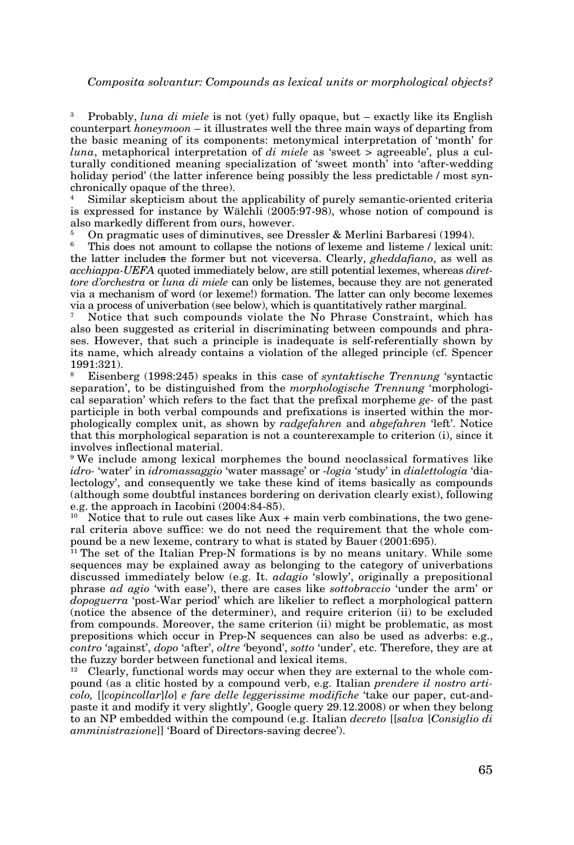<sup>3</sup> Probably, *luna di miele* is not (yet) fully opaque, but – exactly like its English counterpart *honeymoon* – it illustrates well the three main ways of departing from the basic meaning of its components: metonymical interpretation of 'month' for *luna*, metaphorical interpretation of *di miele* as 'sweet > agreeable', plus a culturally conditioned meaning specialization of 'sweet month' into 'after-wedding holiday period' (the latter inference being possibly the less predictable / most synchronically opaque of the three).

<sup>4</sup> Similar skepticism about the applicability of purely semantic-oriented criteria is expressed for instance by Wälchli (2005:97-98), whose notion of compound is also markedly different from ours, however.

<sup>5</sup> On pragmatic uses of diminutives, see Dressler & Merlini Barbaresi (1994).

This does not amount to collapse the notions of lexeme and listeme / lexical unit: the latter includes the former but not viceversa. Clearly, *gheddafiano*, as well as *acchiappa-UEFA* quoted immediately below, are still potential lexemes, whereas *direttore d'orchestra* or *luna di miele* can only be listemes, because they are not generated via a mechanism of word (or lexeme!) formation. The latter can only become lexemes via a process of univerbation (see below), which is quantitatively rather marginal.

<sup>7</sup> Notice that such compounds violate the No Phrase Constraint, which has also been suggested as criterial in discriminating between compounds and phrases. However, that such a principle is inadequate is self-referentially shown by its name, which already contains a violation of the alleged principle (cf. Spencer 1991:321).

<sup>8</sup> Eisenberg (1998:245) speaks in this case of *syntaktische Trennung* 'syntactic separation', to be distinguished from the *morphologische Trennung* 'morphological separation' which refers to the fact that the prefixal morpheme *ge-* of the past participle in both verbal compounds and prefixations is inserted within the morphologically complex unit, as shown by *radgefahren* and *abgefahren* 'left'. Notice that this morphological separation is not a counterexample to criterion (i), since it involves inflectional material.

9 We include among lexical morphemes the bound neoclassical formatives like *idro-* 'water' in *idromassaggio* 'water massage' or -*logia* 'study' in *dialettologia* 'dialectology', and consequently we take these kind of items basically as compounds (although some doubtful instances bordering on derivation clearly exist), following e.g. the approach in Iacobini (2004:84-85).

Notice that to rule out cases like Aux + main verb combinations, the two general criteria above suffice: we do not need the requirement that the whole compound be a new lexeme, contrary to what is stated by Bauer (2001:695).

<sup>11</sup> The set of the Italian Prep-N formations is by no means unitary. While some sequences may be explained away as belonging to the category of univerbations discussed immediately below (e.g. It. *adagio* 'slowly', originally a prepositional phrase *ad agio* 'with ease'), there are cases like *sottobraccio* 'under the arm' or *dopoguerra* 'post-War period' which are likelier to reflect a morphological pattern (notice the absence of the determiner), and require criterion (ii) to be excluded from compounds. Moreover, the same criterion (ii) might be problematic, as most prepositions which occur in Prep-N sequences can also be used as adverbs: e.g., *contro* 'against', *dopo* 'after', *oltre* 'beyond', *sotto* 'under', etc. Therefore, they are at the fuzzy border between functional and lexical items.

<sup>12</sup> Clearly, functional words may occur when they are external to the whole compound (as a clitic hosted by a compound verb, e.g. Italian *prendere il nostro articolo,* [[*copincollar*]*lo*] *e fare delle leggerissime modifiche* 'take our paper, cut-andpaste it and modify it very slightly', Google query 29.12.2008) or when they belong to an NP embedded within the compound (e.g. Italian *decreto* [[*salva* [*Consiglio di amministrazione*]] 'Board of Directors-saving decree').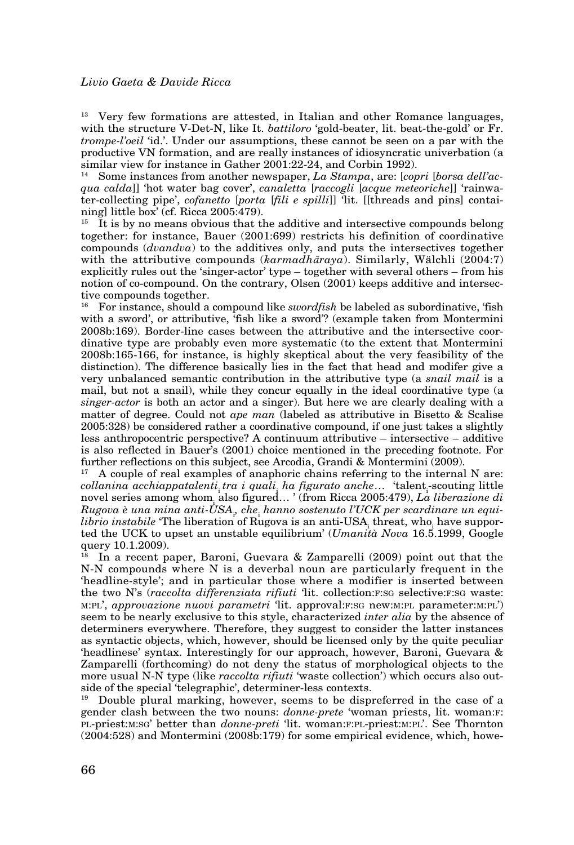<sup>13</sup> Very few formations are attested, in Italian and other Romance languages, with the structure V-Det-N, like It. *battiloro* 'gold-beater, lit. beat-the-gold' or Fr. *trompe-l'oeil* 'id.'. Under our assumptions, these cannot be seen on a par with the productive VN formation, and are really instances of idiosyncratic univerbation (a similar view for instance in Gather 2001:22-24, and Corbin 1992).

<sup>14</sup> Some instances from another newspaper, *La Stampa*, are: [*copri* [*borsa dell'acqua calda*]] 'hot water bag cover', *canaletta* [*raccogli* [*acque meteoriche*]] 'rainwater-collecting pipe', *cofanetto* [*porta* [*fili e spilli*]] 'lit. [[threads and pins] containing] little box' (cf. Ricca 2005:479).

 $15$  It is by no means obvious that the additive and intersective compounds belong together: for instance, Bauer (2001:699) restricts his definition of coordinative compounds (*dvandva*) to the additives only, and puts the intersectives together with the attributive compounds (*karmadhāraya*). Similarly, Wälchli (2004:7) explicitly rules out the 'singer-actor' type – together with several others – from his notion of co-compound. On the contrary, Olsen (2001) keeps additive and intersective compounds together.<br><sup>16</sup> Equipations should a

<sup>16</sup> For instance, should a compound like *swordfish* be labeled as subordinative, 'fish with a sword', or attributive, 'fish like a sword'? (example taken from Montermini 2008b:169). Border-line cases between the attributive and the intersective coordinative type are probably even more systematic (to the extent that Montermini 2008b:165-166, for instance, is highly skeptical about the very feasibility of the distinction). The difference basically lies in the fact that head and modifer give a very unbalanced semantic contribution in the attributive type (a *snail mail* is a mail, but not a snail), while they concur equally in the ideal coordinative type (a *singer-actor* is both an actor and a singer). But here we are clearly dealing with a matter of degree. Could not *ape man* (labeled as attributive in Bisetto & Scalise 2005:328) be considered rather a coordinative compound, if one just takes a slightly less anthropocentric perspective? A continuum attributive – intersective – additive is also reflected in Bauer's (2001) choice mentioned in the preceding footnote. For further reflections on this subject, see Arcodia, Grandi & Montermini (2009).

<sup>17</sup> A couple of real examples of anaphoric chains referring to the internal N are: *collanina acchiappatalenti tra i quali ha figurato anche*… 'talent scouting little novel series among whom<sub>i</sub> also figured… ' (from Ricca 2005:479), *La liberazione di Rugova è una mina anti-USA*<sup>i</sup> *, che*<sup>i</sup>  *hanno sostenuto l'UCK per scardinare un equilibrio instabile* 'The liberation of Rugova is an anti-USA<sub>i</sub> threat, who have supported the UCK to upset an unstable equilibrium' (*Umanità Nova* 16.5.1999, Google query  $10.1.2009$ ).<br> $\frac{18}{18}$  In a recent pay

In a recent paper, Baroni, Guevara & Zamparelli (2009) point out that the N-N compounds where N is a deverbal noun are particularly frequent in the 'headline-style'; and in particular those where a modifier is inserted between the two N's (*raccolta differenziata rifiuti* 'lit. collection:F:SG selective:F:SG waste: m:pl', *approvazione nuovi parametri* 'lit. approval:f:sg new:m:pl parameter:m:pl') seem to be nearly exclusive to this style, characterized *inter alia* by the absence of determiners everywhere. Therefore, they suggest to consider the latter instances as syntactic objects, which, however, should be licensed only by the quite peculiar 'headlinese' syntax. Interestingly for our approach, however, Baroni, Guevara & Zamparelli (forthcoming) do not deny the status of morphological objects to the more usual N-N type (like *raccolta rifiuti* 'waste collection') which occurs also outside of the special 'telegraphic', determiner-less contexts.

<sup>19</sup> Double plural marking, however, seems to be dispreferred in the case of a gender clash between the two nouns: *donne-prete* 'woman priests, lit. woman:f: pl-priest:m:sg' better than *donne-preti* 'lit. woman:f:pl-priest:m:pl'. See Thornton (2004:528) and Montermini (2008b:179) for some empirical evidence, which, howe-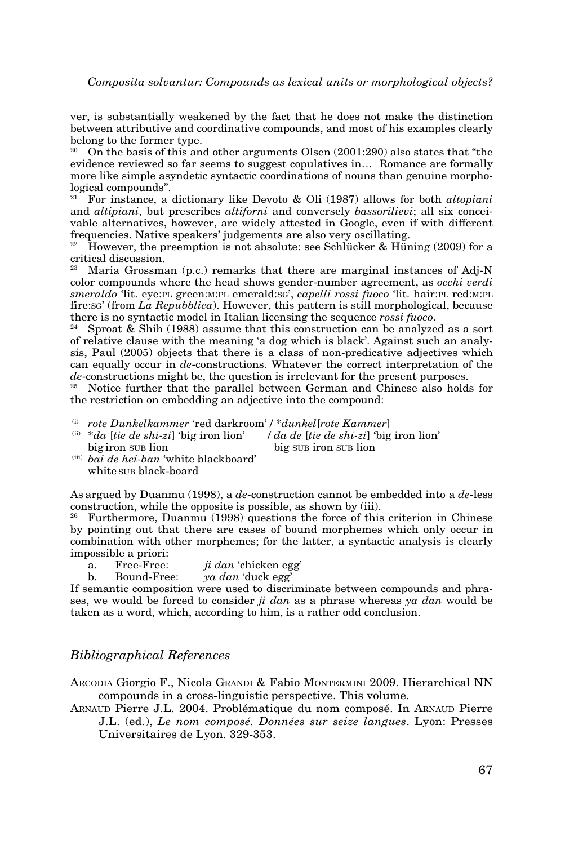ver, is substantially weakened by the fact that he does not make the distinction between attributive and coordinative compounds, and most of his examples clearly belong to the former type.

<sup>20</sup> On the basis of this and other arguments Olsen (2001:290) also states that "the evidence reviewed so far seems to suggest copulatives in… Romance are formally more like simple asyndetic syntactic coordinations of nouns than genuine morphological compounds".

<sup>21</sup> For instance, a dictionary like Devoto & Oli (1987) allows for both *altopiani*  and *altipiani*, but prescribes *altiforni* and conversely *bassorilievi*; all six conceivable alternatives, however, are widely attested in Google, even if with different frequencies. Native speakers' judgements are also very oscillating.

<sup>22</sup> However, the preemption is not absolute: see Schlücker & Hüning (2009) for a critical discussion.

Maria Grossman (p.c.) remarks that there are marginal instances of Adj-N color compounds where the head shows gender-number agreement, as *occhi verdi smeraldo* 'lit. eye:pl green:m:pl emerald:sg', *capelli rossi fuoco* 'lit. hair:pl red:m:pl fire:sg' (from *La Repubblica*). However, this pattern is still morphological, because there is no syntactic model in Italian licensing the sequence *rossi fuoco*.

Sproat & Shih (1988) assume that this construction can be analyzed as a sort of relative clause with the meaning 'a dog which is black'. Against such an analysis, Paul (2005) objects that there is a class of non-predicative adjectives which can equally occur in *de*-constructions. Whatever the correct interpretation of the *de*-constructions might be, the question is irrelevant for the present purposes.<br><sup>25</sup> Notice further that the parallel between German and Chinese also hold

<sup>25</sup> Notice further that the parallel between German and Chinese also holds for the restriction on embedding an adjective into the compound:

- (i) *rote Dunkelkammer* 'red darkroom' / \**dunkel*[*rote Kammer*]<br>
(ii) \**da* [*tie de shi-zi*] 'big iron lion' / *da de* [*tie de shi-zi*] 'big iron lion' big sup iron sup lion
- <sup>(iii)</sup> bai de hei-ban 'white blackboard' white sup black-board

As argued by Duanmu (1998), a *de*-construction cannot be embedded into a *de*-less construction, while the opposite is possible, as shown by (iii).

 $26$  Furthermore, Duanmu (1998) questions the force of this criterion in Chinese by pointing out that there are cases of bound morphemes which only occur in combination with other morphemes; for the latter, a syntactic analysis is clearly impossible a priori:

- a. Free-Free: *ji dan* 'chicken egg'
- b. Bound-Free: *ya dan* 'duck egg'

If semantic composition were used to discriminate between compounds and phrases, we would be forced to consider *ji dan* as a phrase whereas *ya dan* would be taken as a word, which, according to him, is a rather odd conclusion.

### *Bibliographical References*

ARCODIA Giorgio F., Nicola GRANDI & Fabio MONTERMINI 2009. Hierarchical NN compounds in a cross-linguistic perspective. This volume.

Arnaud Pierre J.L. 2004. Problématique du nom composé. In Arnaud Pierre J.L. (ed.), *Le nom composé. Données sur seize langues*. Lyon: Presses Universitaires de Lyon. 329-353.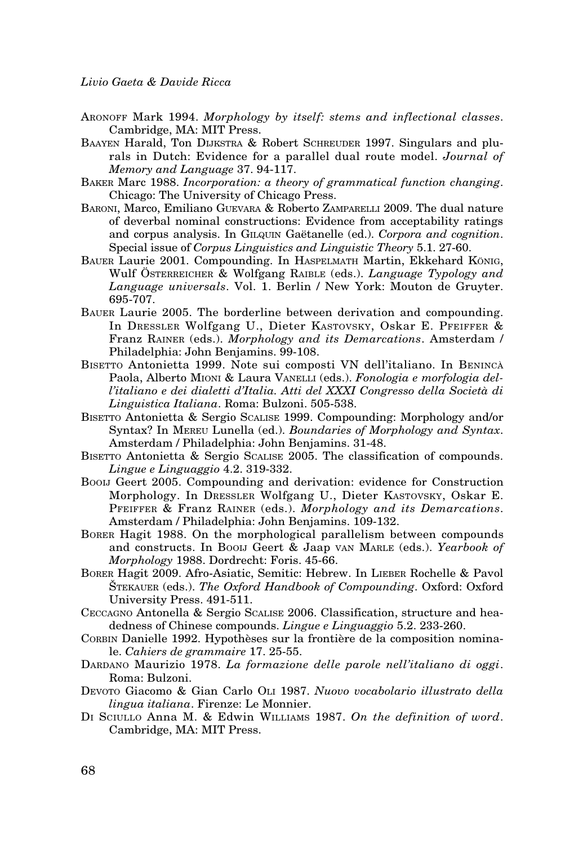- Aronoff Mark 1994. *Morphology by itself: stems and inflectional classes*. Cambridge, MA: MIT Press.
- Baayen Harald, Ton Dijkstra & Robert Schreuder 1997. Singulars and plurals in Dutch: Evidence for a parallel dual route model. *Journal of Memory and Language* 37. 94-117.
- Baker Marc 1988. *Incorporation: a theory of grammatical function changing*. Chicago: The University of Chicago Press.
- Baroni, Marco, Emiliano Guevara & Roberto Zamparelli 2009. The dual nature of deverbal nominal constructions: Evidence from acceptability ratings and corpus analysis. In Gilquin Gaëtanelle (ed.). *Corpora and cognition*. Special issue of *Corpus Linguistics and Linguistic Theory* 5.1. 27-60.
- Bauer Laurie 2001. Compounding. In Haspelmath Martin, Ekkehard König, Wulf Österreicher & Wolfgang Raible (eds.). *Language Typology and Language universals*. Vol. 1. Berlin / New York: Mouton de Gruyter. 695-707.
- Bauer Laurie 2005. The borderline between derivation and compounding. In Dressler Wolfgang U., Dieter Kastovsky, Oskar E. Pfeiffer & Franz Rainer (eds.). *Morphology and its Demarcations*. Amsterdam / Philadelphia: John Benjamins. 99-108.
- BISETTO Antonietta 1999. Note sui composti VN dell'italiano. In BENINCÀ Paola, Alberto Mioni & Laura Vanelli (eds.). *Fonologia e morfologia dell'italiano e dei dialetti d'Italia. Atti del XXXI Congresso della Società di Linguistica Italiana*. Roma: Bulzoni. 505-538.
- Bisetto Antonietta & Sergio Scalise 1999. Compounding: Morphology and/or Syntax? In Mereu Lunella (ed.). *Boundaries of Morphology and Syntax*. Amsterdam / Philadelphia: John Benjamins. 31-48.
- BISETTO Antonietta & Sergio SCALISE 2005. The classification of compounds. *Lingue e Linguaggio* 4.2. 319-332.
- Booij Geert 2005. Compounding and derivation: evidence for Construction Morphology. In Dressler Wolfgang U., Dieter Kastovsky, Oskar E. Pfeiffer & Franz Rainer (eds.). *Morphology and its Demarcations*. Amsterdam / Philadelphia: John Benjamins. 109-132.
- Borer Hagit 1988. On the morphological parallelism between compounds and constructs. In Booij Geert & Jaap van Marle (eds.). *Yearbook of Morphology* 1988. Dordrecht: Foris. 45-66.
- Borer Hagit 2009. Afro-Asiatic, Semitic: Hebrew. In Lieber Rochelle & Pavol Štekauer (eds.). *The Oxford Handbook of Compounding*. Oxford: Oxford University Press. 491-511.
- Ceccagno Antonella & Sergio Scalise 2006. Classification, structure and headedness of Chinese compounds. *Lingue e Linguaggio* 5.2. 233-260.
- Corbin Danielle 1992. Hypothèses sur la frontière de la composition nominale. *Cahiers de grammaire* 17. 25-55.
- DARDANO Maurizio 1978. La formazione delle parole nell'italiano di oggi. Roma: Bulzoni.
- Devoto Giacomo & Gian Carlo Oli 1987. *Nuovo vocabolario illustrato della lingua italiana*. Firenze: Le Monnier.
- Di Sciullo Anna M. & Edwin Williams 1987. *On the definition of word*. Cambridge, MA: MIT Press.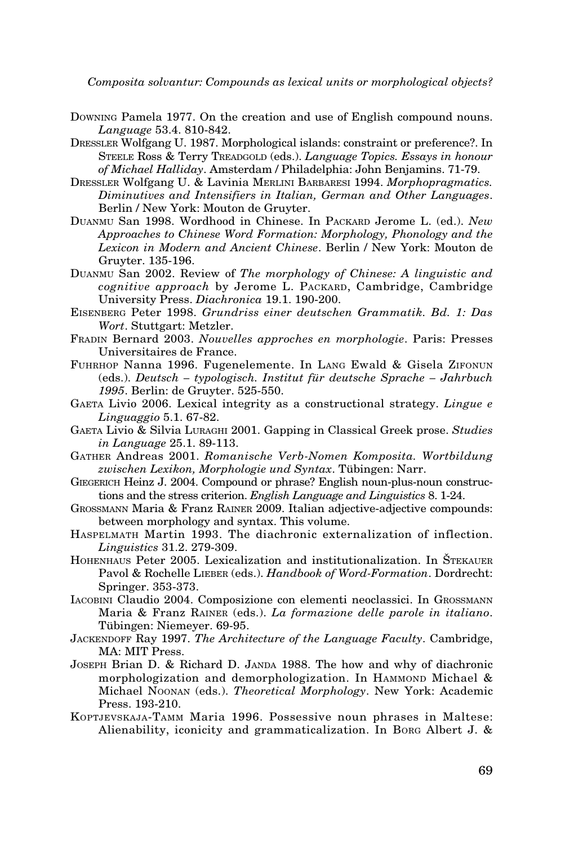- Downing Pamela 1977. On the creation and use of English compound nouns. *Language* 53.4. 810-842.
- Dressler Wolfgang U. 1987. Morphological islands: constraint or preference?. In Steele Ross & Terry Treadgold (eds.). *Language Topics. Essays in honour of Michael Halliday*. Amsterdam / Philadelphia: John Benjamins. 71-79.
- Dressler Wolfgang U. & Lavinia Merlini Barbaresi 1994. *Morphopragmatics. Diminutives and Intensifiers in Italian, German and Other Languages*. Berlin / New York: Mouton de Gruyter.
- Duanmu San 1998. Wordhood in Chinese. In Packard Jerome L. (ed.). *New Approaches to Chinese Word Formation: Morphology, Phonology and the Lexicon in Modern and Ancient Chinese*. Berlin / New York: Mouton de Gruyter. 135-196.
- Duanmu San 2002. Review of *The morphology of Chinese: A linguistic and cognitive approach* by Jerome L. PACKARD, Cambridge, Cambridge University Press. *Diachronica* 19.1. 190-200.
- Eisenberg Peter 1998. *Grundriss einer deutschen Grammatik. Bd. 1: Das Wort*. Stuttgart: Metzler.
- Fradin Bernard 2003. *Nouvelles approches en morphologie*. Paris: Presses Universitaires de France.
- Fuhrhop Nanna 1996. Fugenelemente. In Lang Ewald & Gisela Zifonun (eds.). *Deutsch – typologisch. Institut für deutsche Sprache – Jahrbuch 1995*. Berlin: de Gruyter. 525-550.
- Gaeta Livio 2006. Lexical integrity as a constructional strategy. *Lingue e Linguaggio* 5.1. 67-82.
- Gaeta Livio & Silvia Luraghi 2001. Gapping in Classical Greek prose. *Studies in Language* 25.1. 89-113.
- Gather Andreas 2001. *Romanische Verb-Nomen Komposita. Wortbildung zwischen Lexikon, Morphologie und Syntax*. Tübingen: Narr.
- Giegerich Heinz J. 2004. Compound or phrase? English noun-plus-noun constructions and the stress criterion. *English Language and Linguistics* 8. 1-24.
- Grossmann Maria & Franz Rainer 2009. Italian adjective-adjective compounds: between morphology and syntax. This volume.
- Haspelmath Martin 1993. The diachronic externalization of inflection. *Linguistics* 31.2. 279-309.
- Hohenhaus Peter 2005. Lexicalization and institutionalization. In Štekauer Pavol & Rochelle Lieber (eds.). *Handbook of Word-Formation*. Dordrecht: Springer. 353-373.
- Iacobini Claudio 2004. Composizione con elementi neoclassici. In Grossmann Maria & Franz Rainer (eds.). *La formazione delle parole in italiano*. Tübingen: Niemeyer. 69-95.
- Jackendoff Ray 1997. *The Architecture of the Language Faculty*. Cambridge, MA: MIT Press.
- JOSEPH Brian D. & Richard D. JANDA 1988. The how and why of diachronic morphologization and demorphologization. In HAMMOND Michael  $\&$ Michael Noonan (eds.). *Theoretical Morphology*. New York: Academic Press. 193-210.
- Koptjevskaja-Tamm Maria 1996. Possessive noun phrases in Maltese: Alienability, iconicity and grammaticalization. In Borg Albert J. &